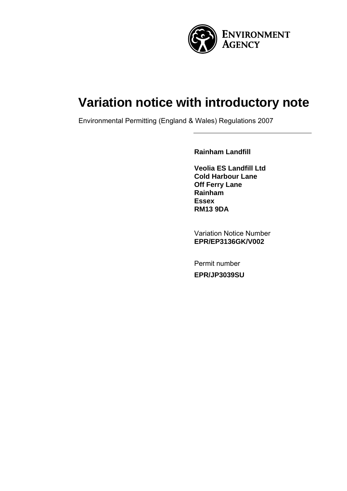

# **Variation notice with introductory note**

Environmental Permitting (England & Wales) Regulations 2007

**Rainham Landfill** 

**Veolia ES Landfill Ltd Cold Harbour Lane Off Ferry Lane Rainham Essex RM13 9DA** 

Variation Notice Number **EPR/EP3136GK/V002** 

Permit number **EPR/JP3039SU**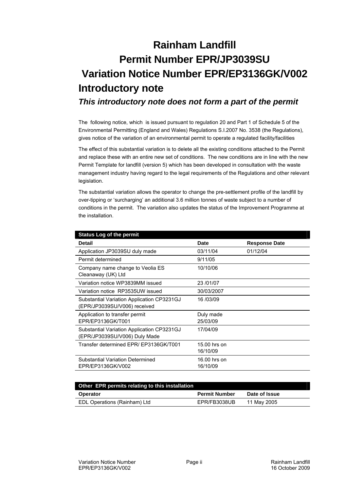# **Rainham Landfill Permit Number EPR/JP3039SU Variation Notice Number EPR/EP3136GK/V002 Introductory note**

*This introductory note does not form a part of the permit* 

The following notice, which is issued pursuant to regulation 20 and Part 1 of Schedule 5 of the Environmental Permitting (England and Wales) Regulations S.I.2007 No. 3538 (the Regulations), gives notice of the variation of an environmental permit to operate a regulated facility/facilities

The effect of this substantial variation is to delete all the existing conditions attached to the Permit and replace these with an entire new set of conditions. The new conditions are in line with the new Permit Template for landfill (version 5) which has been developed in consultation with the waste management industry having regard to the legal requirements of the Regulations and other relevant legislation.

The substantial variation allows the operator to change the pre-settlement profile of the landfill by over-tipping or 'surcharging' an additional 3.6 million tonnes of waste subject to a number of conditions in the permit. The variation also updates the status of the Improvement Programme at the installation.

| <b>Status Log of the permit</b>                                             |                          |                      |
|-----------------------------------------------------------------------------|--------------------------|----------------------|
| Detail                                                                      | Date                     | <b>Response Date</b> |
| Application JP3039SU duly made                                              | 03/11/04                 | 01/12/04             |
| Permit determined                                                           | 9/11/05                  |                      |
| Company name change to Veolia ES<br>Cleanaway (UK) Ltd                      | 10/10/06                 |                      |
| Variation notice WP3839MM issued                                            | 23/01/07                 |                      |
| Variation notice RP3535UW issued                                            | 30/03/2007               |                      |
| Substantial Variation Application CP3231GJ<br>(EPR/JP3039SU/V006) received  | 16/03/09                 |                      |
| Application to transfer permit<br>EPR/EP3136GK/T001                         | Duly made<br>25/03/09    |                      |
| Substantial Variation Application CP3231GJ<br>(EPR/JP3039SU/V006) Duly Made | 17/04/09                 |                      |
| Transfer determined EPR/ EP3136GK/T001                                      | 15.00 hrs on<br>16/10/09 |                      |
| <b>Substantial Variation Determined</b><br>EPR/EP3136GK/V002                | 16.00 hrs on<br>16/10/09 |                      |

| Other EPR permits relating to this installation |                      |               |  |
|-------------------------------------------------|----------------------|---------------|--|
| <b>Operator</b>                                 | <b>Permit Number</b> | Date of Issue |  |
| EDL Operations (Rainham) Ltd                    | EPR/FB3038UB         | 11 May 2005   |  |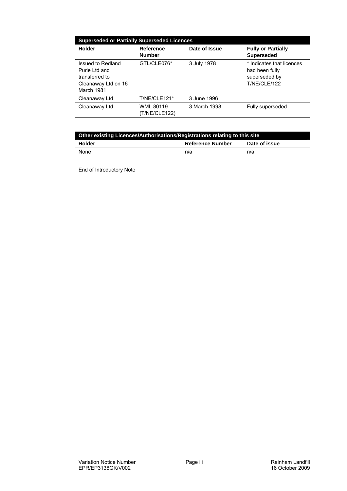| <b>Superseded or Partially Superseded Licences</b>                                         |                                   |               |                                                                                     |  |
|--------------------------------------------------------------------------------------------|-----------------------------------|---------------|-------------------------------------------------------------------------------------|--|
| Holder                                                                                     | Reference<br><b>Number</b>        | Date of Issue | <b>Fully or Partially</b><br><b>Superseded</b>                                      |  |
| Issued to Redland<br>Purle I td and<br>transferred to<br>Cleanaway Ltd on 16<br>March 1981 | GTL/CLE076*                       | 3 July 1978   | * Indicates that licences<br>had been fully<br>superseded by<br><b>T/NE/CLE/122</b> |  |
| Cleanaway Ltd                                                                              | T/NE/CLE121*                      | 3 June 1996   |                                                                                     |  |
| Cleanaway Ltd                                                                              | <b>WML 80119</b><br>(T/NE/CLE122) | 3 March 1998  | Fully superseded                                                                    |  |

| Other existing Licences/Authorisations/Registrations relating to this site |                         |               |  |
|----------------------------------------------------------------------------|-------------------------|---------------|--|
| Holder                                                                     | <b>Reference Number</b> | Date of issue |  |
| None                                                                       | n/a                     | n/a           |  |

End of Introductory Note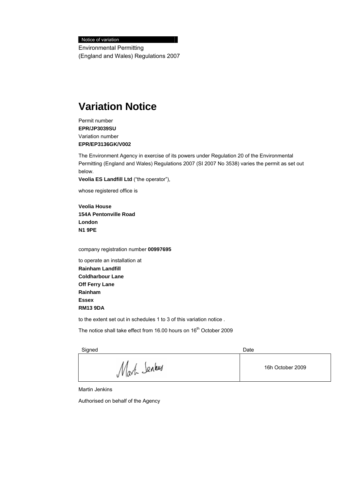Notice of variation

Environmental Permitting (England and Wales) Regulations 2007

### **Variation Notice**

Permit number **EPR/JP3039SU**  Variation number **EPR/EP3136GK/V002**

The Environment Agency in exercise of its powers under Regulation 20 of the Environmental Permitting (England and Wales) Regulations 2007 (SI 2007 No 3538) varies the permit as set out below.

**Veolia ES Landfill Ltd** ("the operator"),

whose registered office is

**Veolia House 154A Pentonville Road London N1 9PE** 

company registration number **00997695** 

to operate an installation at **Rainham Landfill Coldharbour Lane Off Ferry Lane Rainham Essex RM13 9DA** 

to the extent set out in schedules 1 to 3 of this variation notice .

The notice shall take effect from 16.00 hours on 16<sup>th</sup> October 2009

Signed **Date** 

Mark Senkers 16h October 2009

Martin Jenkins

Authorised on behalf of the Agency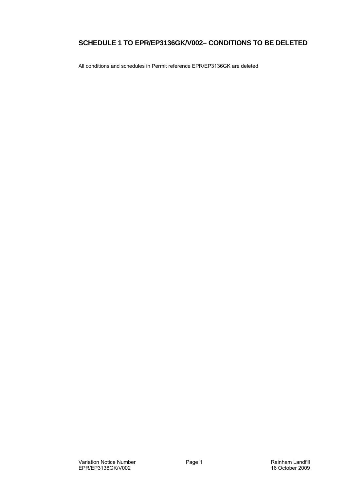#### **SCHEDULE 1 TO EPR/EP3136GK/V002– CONDITIONS TO BE DELETED**

All conditions and schedules in Permit reference EPR/EP3136GK are deleted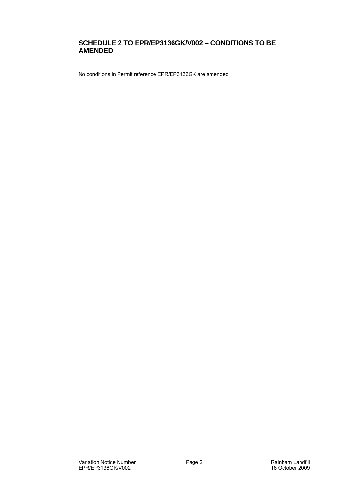#### **SCHEDULE 2 TO EPR/EP3136GK/V002 – CONDITIONS TO BE AMENDED**

No conditions in Permit reference EPR/EP3136GK are amended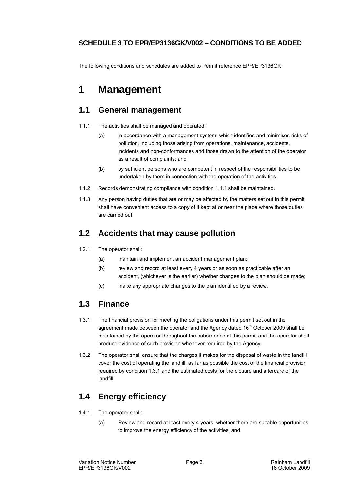#### **SCHEDULE 3 TO EPR/EP3136GK/V002 – CONDITIONS TO BE ADDED**

The following conditions and schedules are added to Permit reference EPR/EP3136GK

## **1 Management**

#### **1.1 General management**

- 1.1.1 The activities shall be managed and operated:
	- (a) in accordance with a management system, which identifies and minimises risks of pollution, including those arising from operations, maintenance, accidents, incidents and non-conformances and those drawn to the attention of the operator as a result of complaints; and
	- (b) by sufficient persons who are competent in respect of the responsibilities to be undertaken by them in connection with the operation of the activities.
- 1.1.2 Records demonstrating compliance with condition 1.1.1 shall be maintained.
- 1.1.3 Any person having duties that are or may be affected by the matters set out in this permit shall have convenient access to a copy of it kept at or near the place where those duties are carried out.

#### **1.2 Accidents that may cause pollution**

- 1.2.1 The operator shall:
	- (a) maintain and implement an accident management plan;
	- (b) review and record at least every 4 years or as soon as practicable after an accident, (whichever is the earlier) whether changes to the plan should be made;
	- (c) make any appropriate changes to the plan identified by a review.

### **1.3 Finance**

- 1.3.1 The financial provision for meeting the obligations under this permit set out in the agreement made between the operator and the Agency dated  $16<sup>th</sup>$  October 2009 shall be maintained by the operator throughout the subsistence of this permit and the operator shall produce evidence of such provision whenever required by the Agency.
- 1.3.2 The operator shall ensure that the charges it makes for the disposal of waste in the landfill cover the cost of operating the landfill, as far as possible the cost of the financial provision required by condition 1.3.1 and the estimated costs for the closure and aftercare of the landfill.

### **1.4 Energy efficiency**

- 1.4.1 The operator shall:
	- (a) Review and record at least every 4 years whether there are suitable opportunities to improve the energy efficiency of the activities; and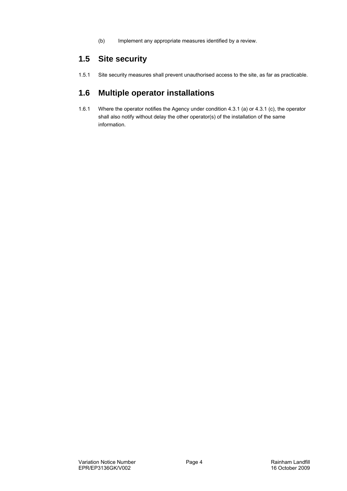(b) Implement any appropriate measures identified by a review.

#### **1.5 Site security**

1.5.1 Site security measures shall prevent unauthorised access to the site, as far as practicable.

#### **1.6 Multiple operator installations**

1.6.1 Where the operator notifies the Agency under condition 4.3.1 (a) or 4.3.1 (c), the operator shall also notify without delay the other operator(s) of the installation of the same information.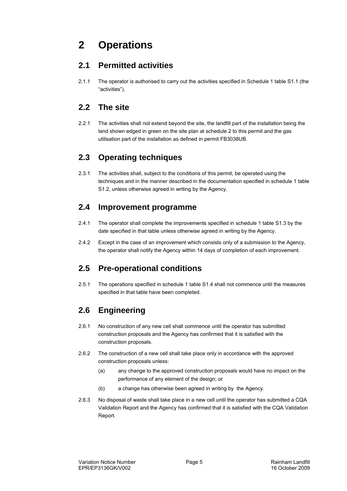# **2 Operations**

#### **2.1 Permitted activities**

2.1.1 The operator is authorised to carry out the activities specified in Schedule 1 table S1.1 (the "activities").

### **2.2 The site**

2.2.1 The activities shall not extend beyond the site, the landfill part of the installation being the land shown edged in green on the site plan at schedule 2 to this permit and the gas utilisation part of the installation as defined in permit FB3038UB.

### **2.3 Operating techniques**

2.3.1 The activities shall, subject to the conditions of this permit, be operated using the techniques and in the manner described in the documentation specified in schedule 1 table S1.2, unless otherwise agreed in writing by the Agency.

### **2.4 Improvement programme**

- 2.4.1 The operator shall complete the improvements specified in schedule 1 table S1.3 by the date specified in that table unless otherwise agreed in writing by the Agency.
- 2.4.2 Except in the case of an improvement which consists only of a submission to the Agency, the operator shall notify the Agency within 14 days of completion of each improvement.

### **2.5 Pre-operational conditions**

2.5.1 The operations specified in schedule 1 table S1.4 shall not commence until the measures specified in that table have been completed.

### **2.6 Engineering**

- 2.6.1 No construction of any new cell shall commence until the operator has submitted construction proposals and the Agency has confirmed that it is satisfied with the construction proposals.
- 2.6.2 The construction of a new cell shall take place only in accordance with the approved construction proposals unless:
	- (a) any change to the approved construction proposals would have no impact on the performance of any element of the design; or
	- (b) a change has otherwise been agreed in writing by the Agency.
- 2.6.3 No disposal of waste shall take place in a new cell until the operator has submitted a CQA Validation Report and the Agency has confirmed that it is satisfied with the CQA Validation Report.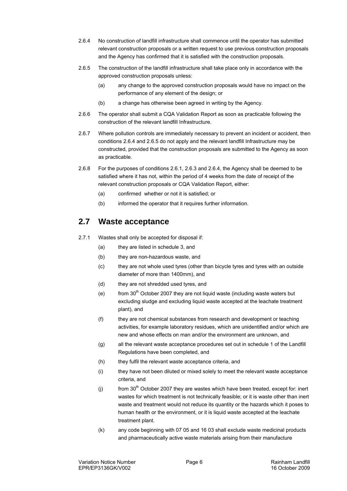- 2.6.4 No construction of landfill infrastructure shall commence until the operator has submitted relevant construction proposals or a written request to use previous construction proposals and the Agency has confirmed that it is satisfied with the construction proposals.
- 2.6.5 The construction of the landfill infrastructure shall take place only in accordance with the approved construction proposals unless:
	- (a) any change to the approved construction proposals would have no impact on the performance of any element of the design; or
	- (b) a change has otherwise been agreed in writing by the Agency.
- 2.6.6 The operator shall submit a CQA Validation Report as soon as practicable following the construction of the relevant landfill Infrastructure.
- 2.6.7 Where pollution controls are immediately necessary to prevent an incident or accident, then conditions 2.6.4 and 2.6.5 do not apply and the relevant landfill Infrastructure may be constructed, provided that the construction proposals are submitted to the Agency as soon as practicable.
- 2.6.8 For the purposes of conditions 2.6.1, 2.6.3 and 2.6.4, the Agency shall be deemed to be satisfied where it has not, within the period of 4 weeks from the date of receipt of the relevant construction proposals or CQA Validation Report, either:
	- (a) confirmed whether or not it is satisfied; or
	- (b) informed the operator that it requires further information.

#### **2.7 Waste acceptance**

- 2.7.1 Wastes shall only be accepted for disposal if:
	- (a) they are listed in schedule 3, and
	- (b) they are non-hazardous waste, and
	- (c) they are not whole used tyres (other than bicycle tyres and tyres with an outside diameter of more than 1400mm), and
	- (d) they are not shredded used tyres, and
	- (e) from  $30<sup>th</sup>$  October 2007 they are not liquid waste (including waste waters but excluding sludge and excluding liquid waste accepted at the leachate treatment plant), and
	- (f) they are not chemical substances from research and development or teaching activities, for example laboratory residues, which are unidentified and/or which are new and whose effects on man and/or the environment are unknown, and
	- (g) all the relevant waste acceptance procedures set out in schedule 1 of the Landfill Regulations have been completed, and
	- (h) they fulfil the relevant waste acceptance criteria, and
	- (i) they have not been diluted or mixed solely to meet the relevant waste acceptance criteria, and
	- (i) from  $30<sup>th</sup>$  October 2007 they are wastes which have been treated, except for: inert wastes for which treatment is not technically feasible; or it is waste other than inert waste and treatment would not reduce its quantity or the hazards which it poses to human health or the environment, or it is liquid waste accepted at the leachate treatment plant.
	- (k) any code beginning with 07 05 and 16 03 shall exclude waste medicinal products and pharmaceutically active waste materials arising from their manufacture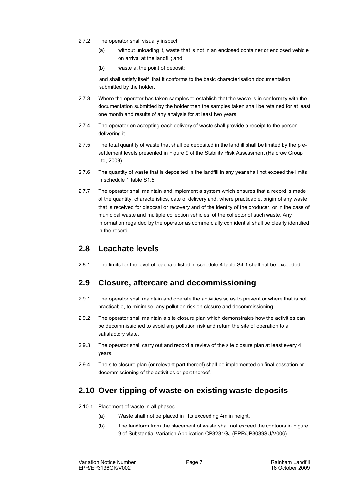- 2.7.2 The operator shall visually inspect:
	- (a) without unloading it, waste that is not in an enclosed container or enclosed vehicle on arrival at the landfill; and
	- (b) waste at the point of deposit;

and shall satisfy itself that it conforms to the basic characterisation documentation submitted by the holder.

- 2.7.3 Where the operator has taken samples to establish that the waste is in conformity with the documentation submitted by the holder then the samples taken shall be retained for at least one month and results of any analysis for at least two years.
- 2.7.4 The operator on accepting each delivery of waste shall provide a receipt to the person delivering it.
- 2.7.5 The total quantity of waste that shall be deposited in the landfill shall be limited by the presettlement levels presented in Figure 9 of the Stability Risk Assessment (Halcrow Group Ltd, 2009).
- 2.7.6 The quantity of waste that is deposited in the landfill in any year shall not exceed the limits in schedule 1 table S1.5.
- 2.7.7 The operator shall maintain and implement a system which ensures that a record is made of the quantity, characteristics, date of delivery and, where practicable, origin of any waste that is received for disposal or recovery and of the identity of the producer, or in the case of municipal waste and multiple collection vehicles, of the collector of such waste. Any information regarded by the operator as commercially confidential shall be clearly identified in the record.

#### **2.8 Leachate levels**

2.8.1 The limits for the level of leachate listed in schedule 4 table S4.1 shall not be exceeded.

#### **2.9 Closure, aftercare and decommissioning**

- 2.9.1 The operator shall maintain and operate the activities so as to prevent or where that is not practicable, to minimise, any pollution risk on closure and decommissioning.
- 2.9.2 The operator shall maintain a site closure plan which demonstrates how the activities can be decommissioned to avoid any pollution risk and return the site of operation to a satisfactory state.
- 2.9.3 The operator shall carry out and record a review of the site closure plan at least every 4 years.
- 2.9.4 The site closure plan (or relevant part thereof) shall be implemented on final cessation or decommissioning of the activities or part thereof.

### **2.10 Over-tipping of waste on existing waste deposits**

- 2.10.1 Placement of waste in all phases
	- (a) Waste shall not be placed in lifts exceeding 4m in height.
	- (b) The landform from the placement of waste shall not exceed the contours in Figure 9 of Substantial Variation Application CP3231GJ (EPR/JP3039SU/V006).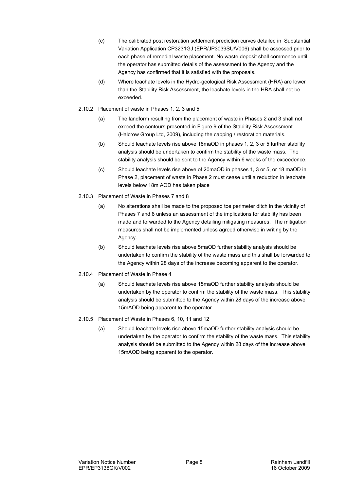- (c) The calibrated post restoration settlement prediction curves detailed in Substantial Variation Application CP3231GJ (EPR/JP3039SU/V006) shall be assessed prior to each phase of remedial waste placement. No waste deposit shall commence until the operator has submitted details of the assessment to the Agency and the Agency has confirmed that it is satisfied with the proposals.
- (d) Where leachate levels in the Hydro-geological Risk Assessment (HRA) are lower than the Stability Risk Assessment, the leachate levels in the HRA shall not be exceeded.
- 2.10.2 Placement of waste in Phases 1, 2, 3 and 5
	- (a) The landform resulting from the placement of waste in Phases 2 and 3 shall not exceed the contours presented in Figure 9 of the Stability Risk Assessment (Halcrow Group Ltd, 2009), including the capping / restoration materials.
	- (b) Should leachate levels rise above 18maOD in phases 1, 2, 3 or 5 further stability analysis should be undertaken to confirm the stability of the waste mass. The stability analysis should be sent to the Agency within 6 weeks of the exceedence.
	- (c) Should leachate levels rise above of 20maOD in phases 1, 3 or 5, or 18 maOD in Phase 2, placement of waste in Phase 2 must cease until a reduction in leachate levels below 18m AOD has taken place
- 2.10.3 Placement of Waste in Phases 7 and 8
	- (a) No alterations shall be made to the proposed toe perimeter ditch in the vicinity of Phases 7 and 8 unless an assessment of the implications for stability has been made and forwarded to the Agency detailing mitigating measures. The mitigation measures shall not be implemented unless agreed otherwise in writing by the Agency.
	- (b) Should leachate levels rise above 5maOD further stability analysis should be undertaken to confirm the stability of the waste mass and this shall be forwarded to the Agency within 28 days of the increase becoming apparent to the operator.
- 2.10.4 Placement of Waste in Phase 4
	- (a) Should leachate levels rise above 15maOD further stability analysis should be undertaken by the operator to confirm the stability of the waste mass. This stability analysis should be submitted to the Agency within 28 days of the increase above 15mAOD being apparent to the operator.
- 2.10.5 Placement of Waste in Phases 6, 10, 11 and 12
	- (a) Should leachate levels rise above 15maOD further stability analysis should be undertaken by the operator to confirm the stability of the waste mass. This stability analysis should be submitted to the Agency within 28 days of the increase above 15mAOD being apparent to the operator.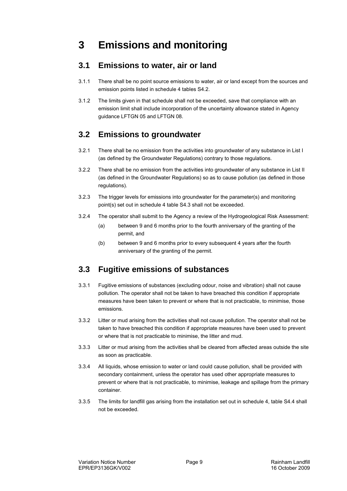### **3 Emissions and monitoring**

#### **3.1 Emissions to water, air or land**

- 3.1.1 There shall be no point source emissions to water, air or land except from the sources and emission points listed in schedule 4 tables S4.2.
- 3.1.2 The limits given in that schedule shall not be exceeded, save that compliance with an emission limit shall include incorporation of the uncertainty allowance stated in Agency guidance LFTGN 05 and LFTGN 08.

#### **3.2 Emissions to groundwater**

- 3.2.1 There shall be no emission from the activities into groundwater of any substance in List I (as defined by the Groundwater Regulations) contrary to those regulations.
- 3.2.2 There shall be no emission from the activities into groundwater of any substance in List II (as defined in the Groundwater Regulations) so as to cause pollution (as defined in those regulations).
- 3.2.3 The trigger levels for emissions into groundwater for the parameter(s) and monitoring point(s) set out in schedule 4 table S4.3 shall not be exceeded.
- 3.2.4 The operator shall submit to the Agency a review of the Hydrogeological Risk Assessment:
	- (a) between 9 and 6 months prior to the fourth anniversary of the granting of the permit, and
	- (b) between 9 and 6 months prior to every subsequent 4 years after the fourth anniversary of the granting of the permit.

### **3.3 Fugitive emissions of substances**

- 3.3.1 Fugitive emissions of substances (excluding odour, noise and vibration) shall not cause pollution. The operator shall not be taken to have breached this condition if appropriate measures have been taken to prevent or where that is not practicable, to minimise, those emissions.
- 3.3.2 Litter or mud arising from the activities shall not cause pollution. The operator shall not be taken to have breached this condition if appropriate measures have been used to prevent or where that is not practicable to minimise, the litter and mud.
- 3.3.3 Litter or mud arising from the activities shall be cleared from affected areas outside the site as soon as practicable.
- 3.3.4 All liquids, whose emission to water or land could cause pollution, shall be provided with secondary containment, unless the operator has used other appropriate measures to prevent or where that is not practicable, to minimise, leakage and spillage from the primary container.
- 3.3.5 The limits for landfill gas arising from the installation set out in schedule 4, table S4.4 shall not be exceeded.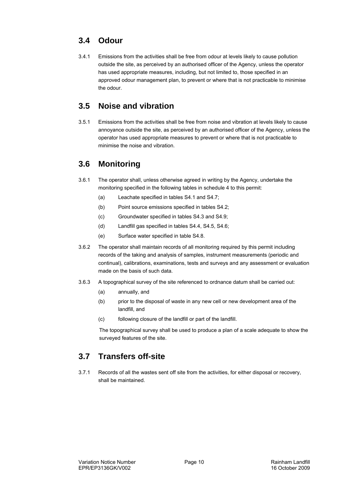### **3.4 Odour**

3.4.1 Emissions from the activities shall be free from odour at levels likely to cause pollution outside the site, as perceived by an authorised officer of the Agency, unless the operator has used appropriate measures, including, but not limited to, those specified in an approved odour management plan, to prevent or where that is not practicable to minimise the odour.

#### **3.5 Noise and vibration**

3.5.1 Emissions from the activities shall be free from noise and vibration at levels likely to cause annoyance outside the site, as perceived by an authorised officer of the Agency, unless the operator has used appropriate measures to prevent or where that is not practicable to minimise the noise and vibration.

#### **3.6 Monitoring**

- 3.6.1 The operator shall, unless otherwise agreed in writing by the Agency, undertake the monitoring specified in the following tables in schedule 4 to this permit:
	- (a) Leachate specified in tables S4.1 and S4.7;
	- (b) Point source emissions specified in tables S4.2;
	- (c) Groundwater specified in tables S4.3 and S4.9;
	- (d) Landfill gas specified in tables S4.4, S4.5, S4.6;
	- (e) Surface water specified in table S4.8.
- 3.6.2 The operator shall maintain records of all monitoring required by this permit including records of the taking and analysis of samples, instrument measurements (periodic and continual), calibrations, examinations, tests and surveys and any assessment or evaluation made on the basis of such data.
- 3.6.3 A topographical survey of the site referenced to ordnance datum shall be carried out:
	- (a) annually, and
	- (b) prior to the disposal of waste in any new cell or new development area of the landfill, and
	- (c) following closure of the landfill or part of the landfill.

The topographical survey shall be used to produce a plan of a scale adequate to show the surveyed features of the site.

#### **3.7 Transfers off-site**

3.7.1 Records of all the wastes sent off site from the activities, for either disposal or recovery, shall be maintained.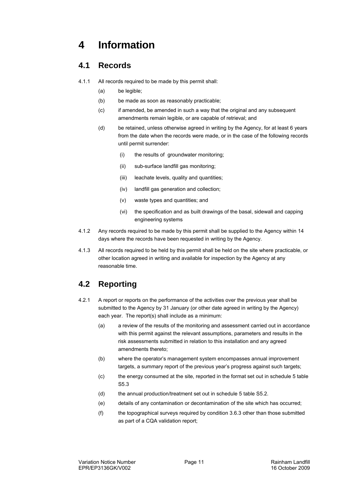## **4 Information**

#### **4.1 Records**

- 4.1.1 All records required to be made by this permit shall:
	- (a) be legible;
	- (b) be made as soon as reasonably practicable;
	- (c) if amended, be amended in such a way that the original and any subsequent amendments remain legible, or are capable of retrieval; and
	- (d) be retained, unless otherwise agreed in writing by the Agency, for at least 6 years from the date when the records were made, or in the case of the following records until permit surrender:
		- (i) the results of groundwater monitoring;
		- (ii) sub-surface landfill gas monitoring;
		- (iii) leachate levels, quality and quantities;
		- (iv) landfill gas generation and collection;
		- (v) waste types and quantities; and
		- (vi) the specification and as built drawings of the basal, sidewall and capping engineering systems
- 4.1.2 Any records required to be made by this permit shall be supplied to the Agency within 14 days where the records have been requested in writing by the Agency.
- 4.1.3 All records required to be held by this permit shall be held on the site where practicable, or other location agreed in writing and available for inspection by the Agency at any reasonable time.

### **4.2 Reporting**

- 4.2.1 A report or reports on the performance of the activities over the previous year shall be submitted to the Agency by 31 January (or other date agreed in writing by the Agency) each year. The report(s) shall include as a minimum:
	- (a) a review of the results of the monitoring and assessment carried out in accordance with this permit against the relevant assumptions, parameters and results in the risk assessments submitted in relation to this installation and any agreed amendments thereto;
	- (b) where the operator's management system encompasses annual improvement targets, a summary report of the previous year's progress against such targets;
	- (c) the energy consumed at the site, reported in the format set out in schedule 5 table S5.3
	- (d) the annual production/treatment set out in schedule 5 table S5.2.
	- (e) details of any contamination or decontamination of the site which has occurred;
	- (f) the topographical surveys required by condition 3.6.3 other than those submitted as part of a CQA validation report;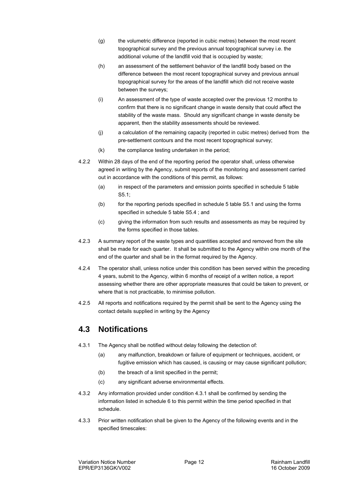- (g) the volumetric difference (reported in cubic metres) between the most recent topographical survey and the previous annual topographical survey i.e. the additional volume of the landfill void that is occupied by waste;
- (h) an assessment of the settlement behavior of the landfill body based on the difference between the most recent topographical survey and previous annual topographical survey for the areas of the landfill which did not receive waste between the surveys;
- (i) An assessment of the type of waste accepted over the previous 12 months to confirm that there is no significant change in waste density that could affect the stability of the waste mass. Should any significant change in waste density be apparent, then the stability assessments should be reviewed.
- (j) a calculation of the remaining capacity (reported in cubic metres) derived from the pre-settlement contours and the most recent topographical survey;
- (k) the compliance testing undertaken in the period;
- 4.2.2 Within 28 days of the end of the reporting period the operator shall, unless otherwise agreed in writing by the Agency, submit reports of the monitoring and assessment carried out in accordance with the conditions of this permit, as follows:
	- (a) in respect of the parameters and emission points specified in schedule 5 table S5.1;
	- (b) for the reporting periods specified in schedule 5 table S5.1 and using the forms specified in schedule 5 table S5.4 ; and
	- (c) giving the information from such results and assessments as may be required by the forms specified in those tables.
- 4.2.3 A summary report of the waste types and quantities accepted and removed from the site shall be made for each quarter. It shall be submitted to the Agency within one month of the end of the quarter and shall be in the format required by the Agency.
- 4.2.4 The operator shall, unless notice under this condition has been served within the preceding 4 years, submit to the Agency, within 6 months of receipt of a written notice, a report assessing whether there are other appropriate measures that could be taken to prevent, or where that is not practicable, to minimise pollution.
- 4.2.5 All reports and notifications required by the permit shall be sent to the Agency using the contact details supplied in writing by the Agency

#### **4.3 Notifications**

- 4.3.1 The Agency shall be notified without delay following the detection of:
	- (a) any malfunction, breakdown or failure of equipment or techniques, accident, or fugitive emission which has caused, is causing or may cause significant pollution;
	- (b) the breach of a limit specified in the permit;
	- (c) any significant adverse environmental effects.
- 4.3.2 Any information provided under condition 4.3.1 shall be confirmed by sending the information listed in schedule 6 to this permit within the time period specified in that schedule.
- 4.3.3 Prior written notification shall be given to the Agency of the following events and in the specified timescales: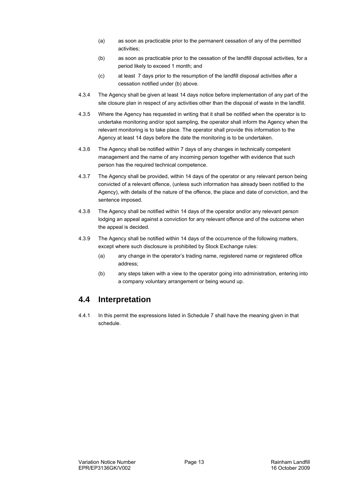- (a) as soon as practicable prior to the permanent cessation of any of the permitted activities;
- (b) as soon as practicable prior to the cessation of the landfill disposal activities, for a period likely to exceed 1 month; and
- (c) at least 7 days prior to the resumption of the landfill disposal activities after a cessation notified under (b) above.
- 4.3.4 The Agency shall be given at least 14 days notice before implementation of any part of the site closure plan in respect of any activities other than the disposal of waste in the landfill.
- 4.3.5 Where the Agency has requested in writing that it shall be notified when the operator is to undertake monitoring and/or spot sampling, the operator shall inform the Agency when the relevant monitoring is to take place. The operator shall provide this information to the Agency at least 14 days before the date the monitoring is to be undertaken.
- 4.3.6 The Agency shall be notified within 7 days of any changes in technically competent management and the name of any incoming person together with evidence that such person has the required technical competence.
- 4.3.7 The Agency shall be provided, within 14 days of the operator or any relevant person being convicted of a relevant offence, (unless such information has already been notified to the Agency), with details of the nature of the offence, the place and date of conviction, and the sentence imposed.
- 4.3.8 The Agency shall be notified within 14 days of the operator and/or any relevant person lodging an appeal against a conviction for any relevant offence and of the outcome when the appeal is decided.
- 4.3.9 The Agency shall be notified within 14 days of the occurrence of the following matters, except where such disclosure is prohibited by Stock Exchange rules:
	- (a) any change in the operator's trading name, registered name or registered office address;
	- (b) any steps taken with a view to the operator going into administration, entering into a company voluntary arrangement or being wound up.

#### **4.4 Interpretation**

4.4.1 In this permit the expressions listed in Schedule 7 shall have the meaning given in that schedule.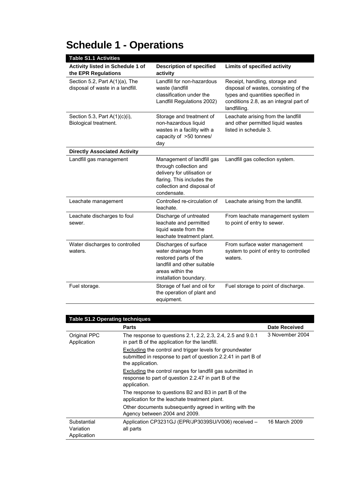| <b>Table S1.1 Activities</b>                                       |                                                                                                                                                                |                                                                                                                                                                        |
|--------------------------------------------------------------------|----------------------------------------------------------------------------------------------------------------------------------------------------------------|------------------------------------------------------------------------------------------------------------------------------------------------------------------------|
| Activity listed in Schedule 1 of<br>the EPR Regulations            | <b>Description of specified</b><br>activity                                                                                                                    | <b>Limits of specified activity</b>                                                                                                                                    |
| Section 5.2, Part A(1)(a), The<br>disposal of waste in a landfill. | Landfill for non-hazardous<br>waste (landfill<br>classification under the<br>Landfill Regulations 2002)                                                        | Receipt, handling, storage and<br>disposal of wastes, consisting of the<br>types and quantities specified in<br>conditions 2.8, as an integral part of<br>landfilling. |
| Section 5.3, Part A(1)(c)(i),<br>Biological treatment.             | Storage and treatment of<br>non-hazardous liquid<br>wastes in a facility with a<br>capacity of >50 tonnes/<br>day                                              | Leachate arising from the landfill<br>and other permitted liquid wastes<br>listed in schedule 3.                                                                       |
| <b>Directly Associated Activity</b>                                |                                                                                                                                                                |                                                                                                                                                                        |
| Landfill gas management                                            | Management of landfill gas<br>through collection and<br>delivery for utilisation or<br>flaring. This includes the<br>collection and disposal of<br>condensate. | Landfill gas collection system.                                                                                                                                        |
| Leachate management                                                | Controlled re-circulation of<br>leachate.                                                                                                                      | Leachate arising from the landfill.                                                                                                                                    |
| Leachate discharges to foul<br>sewer.                              | Discharge of untreated<br>leachate and permitted<br>liquid waste from the<br>leachate treatment plant.                                                         | From leachate management system<br>to point of entry to sewer.                                                                                                         |
| Water discharges to controlled<br>waters.                          | Discharges of surface<br>water drainage from<br>restored parts of the<br>landfill and other suitable<br>areas within the<br>installation boundary.             | From surface water management<br>system to point of entry to controlled<br>waters.                                                                                     |
| Fuel storage.                                                      | Storage of fuel and oil for<br>the operation of plant and<br>equipment.                                                                                        | Fuel storage to point of discharge.                                                                                                                                    |

# **Schedule 1 - Operations**

| <b>Table S1.2 Operating techniques</b>  |                                                                                                                                               |                      |  |  |
|-----------------------------------------|-----------------------------------------------------------------------------------------------------------------------------------------------|----------------------|--|--|
|                                         | <b>Parts</b>                                                                                                                                  | <b>Date Received</b> |  |  |
| Original PPC<br>Application             | The response to questions 2.1, 2.2, 2.3, 2.4, 2.5 and 9.0.1<br>in part B of the application for the landfill.                                 | 3 November 2004      |  |  |
|                                         | Excluding the control and trigger levels for groundwater<br>submitted in response to part of question 2.2.41 in part B of<br>the application. |                      |  |  |
|                                         | Excluding the control ranges for landfill gas submitted in<br>response to part of question 2.2.47 in part B of the<br>application.            |                      |  |  |
|                                         | The response to questions B2 and B3 in part B of the<br>application for the leachate treatment plant.                                         |                      |  |  |
|                                         | Other documents subsequently agreed in writing with the<br>Agency between 2004 and 2009.                                                      |                      |  |  |
| Substantial<br>Variation<br>Application | Application CP3231GJ (EPR/JP3039SU/V006) received -<br>all parts                                                                              | 16 March 2009        |  |  |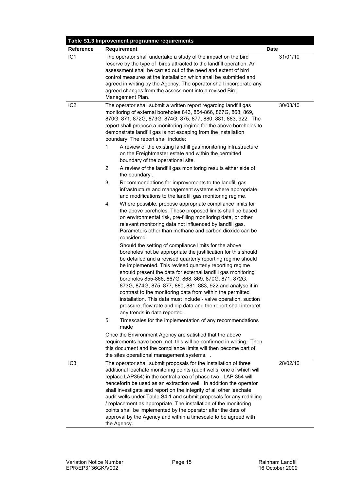| Requirement                                                                                                                                                                                                                                                                                                                                                                                                                                                                                                                                                                                                                                                                                                                                                                                                                                                                                                                                                                                                                                                                                                                                                                                                                                                                                                                                                                                                                                                                                                                                                                                                                                                                                                                                                                                                                                                                                                                                                                                                                                                                                                                                   | <b>Date</b>                                             |
|-----------------------------------------------------------------------------------------------------------------------------------------------------------------------------------------------------------------------------------------------------------------------------------------------------------------------------------------------------------------------------------------------------------------------------------------------------------------------------------------------------------------------------------------------------------------------------------------------------------------------------------------------------------------------------------------------------------------------------------------------------------------------------------------------------------------------------------------------------------------------------------------------------------------------------------------------------------------------------------------------------------------------------------------------------------------------------------------------------------------------------------------------------------------------------------------------------------------------------------------------------------------------------------------------------------------------------------------------------------------------------------------------------------------------------------------------------------------------------------------------------------------------------------------------------------------------------------------------------------------------------------------------------------------------------------------------------------------------------------------------------------------------------------------------------------------------------------------------------------------------------------------------------------------------------------------------------------------------------------------------------------------------------------------------------------------------------------------------------------------------------------------------|---------------------------------------------------------|
|                                                                                                                                                                                                                                                                                                                                                                                                                                                                                                                                                                                                                                                                                                                                                                                                                                                                                                                                                                                                                                                                                                                                                                                                                                                                                                                                                                                                                                                                                                                                                                                                                                                                                                                                                                                                                                                                                                                                                                                                                                                                                                                                               |                                                         |
| The operator shall undertake a study of the impact on the bird<br>reserve by the type of birds attracted to the landfill operation. An<br>assessment shall be carried out of the need and extent of bird<br>control measures at the installation which shall be submitted and<br>agreed in writing by the Agency. The operator shall incorporate any<br>agreed changes from the assessment into a revised Bird<br>Management Plan.                                                                                                                                                                                                                                                                                                                                                                                                                                                                                                                                                                                                                                                                                                                                                                                                                                                                                                                                                                                                                                                                                                                                                                                                                                                                                                                                                                                                                                                                                                                                                                                                                                                                                                            | 31/01/10                                                |
| The operator shall submit a written report regarding landfill gas<br>monitoring of external boreholes 843, 854-866, 867G, 868, 869,<br>870G, 871, 872G, 873G, 874G, 875, 877, 880, 881, 883, 922. The<br>report shall propose a monitoring regime for the above boreholes to<br>demonstrate landfill gas is not escaping from the installation<br>boundary. The report shall include:<br>A review of the existing landfill gas monitoring infrastructure<br>1.<br>on the Freightmaster estate and within the permitted<br>boundary of the operational site.<br>2.<br>A review of the landfill gas monitoring results either side of<br>the boundary.<br>3.<br>Recommendations for improvements to the landfill gas<br>infrastructure and management systems where appropriate<br>and modifications to the landfill gas monitoring regime.<br>Where possible, propose appropriate compliance limits for<br>4.<br>the above boreholes. These proposed limits shall be based<br>on environmental risk, pre-filling monitoring data, or other<br>relevant monitoring data not influenced by landfill gas.<br>Parameters other than methane and carbon dioxide can be<br>considered.<br>Should the setting of compliance limits for the above<br>boreholes not be appropriate the justification for this should<br>be detailed and a revised quarterly reporting regime should<br>be implemented. This revised quarterly reporting regime<br>should present the data for external landfill gas monitoring<br>boreholes 855-866, 867G, 868, 869, 870G, 871, 872G,<br>873G, 874G, 875, 877, 880, 881, 883, 922 and analyse it in<br>contrast to the monitoring data from within the permitted<br>installation. This data must include - valve operation, suction<br>pressure, flow rate and dip data and the report shall interpret<br>any trends in data reported.<br>Timescales for the implementation of any recommendations<br>5.<br>made<br>Once the Environment Agency are satisfied that the above<br>requirements have been met, this will be confirmed in writing. Then<br>this document and the compliance limits will then become part of | 30/03/10                                                |
| The operator shall submit proposals for the installation of three<br>additional leachate monitoring points (audit wells, one of which will<br>replace LAP354) in the central area of phase two. LAP 354 will<br>henceforth be used as an extraction well. In addition the operator<br>shall investigate and report on the integrity of all other leachate<br>audit wells under Table S4.1 and submit proposals for any redrilling<br>/ replacement as appropriate. The installation of the monitoring<br>points shall be implemented by the operator after the date of<br>approval by the Agency and within a timescale to be agreed with                                                                                                                                                                                                                                                                                                                                                                                                                                                                                                                                                                                                                                                                                                                                                                                                                                                                                                                                                                                                                                                                                                                                                                                                                                                                                                                                                                                                                                                                                                     | 28/02/10                                                |
|                                                                                                                                                                                                                                                                                                                                                                                                                                                                                                                                                                                                                                                                                                                                                                                                                                                                                                                                                                                                                                                                                                                                                                                                                                                                                                                                                                                                                                                                                                                                                                                                                                                                                                                                                                                                                                                                                                                                                                                                                                                                                                                                               | the sites operational management systems<br>the Agency. |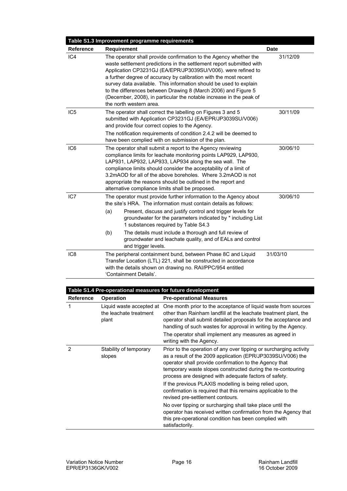|                  | Table S1.3 Improvement programme requirements                                                                                                                                                                                                                                                                                                                                                                                                                                                                          |             |
|------------------|------------------------------------------------------------------------------------------------------------------------------------------------------------------------------------------------------------------------------------------------------------------------------------------------------------------------------------------------------------------------------------------------------------------------------------------------------------------------------------------------------------------------|-------------|
| <b>Reference</b> | Requirement                                                                                                                                                                                                                                                                                                                                                                                                                                                                                                            | <b>Date</b> |
| IC4              | The operator shall provide confirmation to the Agency whether the<br>waste settlement predictions in the settlement report submitted with<br>Application CP3231GJ (EA/EPR/JP3039SU/V006). were refined to<br>a further degree of accuracy by calibration with the most recent<br>survey data available. This information should be used to explain<br>to the differences between Drawing 8 (March 2006) and Figure 5<br>(December, 2008), in particular the notable increase in the peak of<br>the north western area. | 31/12/09    |
| IC <sub>5</sub>  | The operator shall correct the labelling on Figures 3 and 5<br>submitted with Application CP3231GJ (EA/EPR/JP3039SU/V006)<br>and provide four correct copies to the Agency.<br>The notification requirements of condition 2.4.2 will be deemed to<br>have been complied with on submission of the plan.                                                                                                                                                                                                                | 30/11/09    |
| IC <sub>6</sub>  | The operator shall submit a report to the Agency reviewing<br>compliance limits for leachate monitoring points LAP929, LAP930,<br>LAP931, LAP932, LAP933, LAP934 along the sea wall. The<br>compliance limits should consider the acceptability of a limit of<br>3.2mAOD for all of the above boreholes. Where 3.2mAOD is not<br>appropriate the reasons should be outlined in the report and<br>alternative compliance limits shall be proposed.                                                                      | 30/06/10    |
| IC7              | The operator must provide further information to the Agency about<br>the site's HRA. The information must contain details as follows:<br>(a)<br>Present, discuss and justify control and trigger levels for<br>groundwater for the parameters indicated by * including List<br>1 substances required by Table S4.3<br>The details must include a thorough and full review of<br>(b)<br>groundwater and leachate quality, and of EALs and control<br>and trigger levels.                                                | 30/06/10    |
| IC <sub>8</sub>  | The peripheral containment bund, between Phase 8C and Liquid<br>Transfer Location (LTL) 221, shall be constructed in accordance<br>with the details shown on drawing no. RAI/PPC/954 entitled<br>'Containment Details'.                                                                                                                                                                                                                                                                                                | 31/03/10    |

| Table S1.4 Pre-operational measures for future development |                                                             |                                                                                                                                                                                                                                                                                                                                                               |  |
|------------------------------------------------------------|-------------------------------------------------------------|---------------------------------------------------------------------------------------------------------------------------------------------------------------------------------------------------------------------------------------------------------------------------------------------------------------------------------------------------------------|--|
| <b>Reference</b>                                           | <b>Operation</b>                                            | <b>Pre-operational Measures</b>                                                                                                                                                                                                                                                                                                                               |  |
| 1                                                          | Liquid waste accepted at<br>the leachate treatment<br>plant | One month prior to the acceptance of liquid waste from sources<br>other than Rainham landfill at the leachate treatment plant, the<br>operator shall submit detailed proposals for the acceptance and<br>handling of such wastes for approval in writing by the Agency.<br>The operator shall implement any measures as agreed in<br>writing with the Agency. |  |
| 2                                                          | Stability of temporary<br>slopes                            | Prior to the operation of any over tipping or surcharging activity<br>as a result of the 2009 application (EPR/JP3039SU/V006) the<br>operator shall provide confirmation to the Agency that<br>temporary waste slopes constructed during the re-contouring<br>process are designed with adequate factors of safety.                                           |  |
|                                                            |                                                             | If the previous PLAXIS modelling is being relied upon,<br>confirmation is required that this remains applicable to the<br>revised pre-settlement contours.                                                                                                                                                                                                    |  |
|                                                            |                                                             | No over tipping or surcharging shall take place until the<br>operator has received written confirmation from the Agency that<br>this pre-operational condition has been complied with<br>satisfactorily.                                                                                                                                                      |  |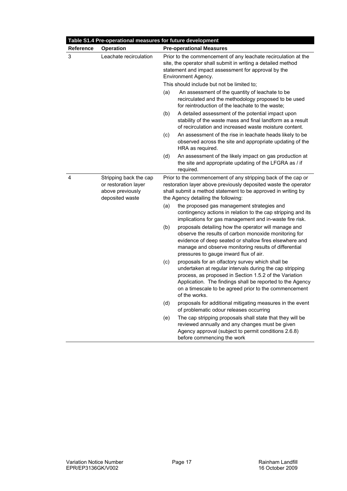|                  | Table S1.4 Pre-operational measures for future development                            |                                                                                                                                                                                                                                         |                                                                                                                                                                                                                                                                                                               |
|------------------|---------------------------------------------------------------------------------------|-----------------------------------------------------------------------------------------------------------------------------------------------------------------------------------------------------------------------------------------|---------------------------------------------------------------------------------------------------------------------------------------------------------------------------------------------------------------------------------------------------------------------------------------------------------------|
| <b>Reference</b> | <b>Operation</b>                                                                      |                                                                                                                                                                                                                                         | <b>Pre-operational Measures</b>                                                                                                                                                                                                                                                                               |
| 3                | Leachate recirculation                                                                |                                                                                                                                                                                                                                         | Prior to the commencement of any leachate recirculation at the<br>site, the operator shall submit in writing a detailed method<br>statement and impact assessment for approval by the<br>Environment Agency.                                                                                                  |
|                  |                                                                                       |                                                                                                                                                                                                                                         | This should include but not be limited to;                                                                                                                                                                                                                                                                    |
|                  |                                                                                       | (a)                                                                                                                                                                                                                                     | An assessment of the quantity of leachate to be<br>recirculated and the methodology proposed to be used<br>for reintroduction of the leachate to the waste;                                                                                                                                                   |
|                  |                                                                                       | (b)                                                                                                                                                                                                                                     | A detailed assessment of the potential impact upon<br>stability of the waste mass and final landform as a result<br>of recirculation and increased waste moisture content.                                                                                                                                    |
|                  |                                                                                       | (c)                                                                                                                                                                                                                                     | An assessment of the rise in leachate heads likely to be<br>observed across the site and appropriate updating of the<br>HRA as required.                                                                                                                                                                      |
|                  |                                                                                       | (d)                                                                                                                                                                                                                                     | An assessment of the likely impact on gas production at<br>the site and appropriate updating of the LFGRA as / if<br>required.                                                                                                                                                                                |
| 4                | Stripping back the cap<br>or restoration layer<br>above previously<br>deposited waste | Prior to the commencement of any stripping back of the cap or<br>restoration layer above previously deposited waste the operator<br>shall submit a method statement to be approved in writing by<br>the Agency detailing the following: |                                                                                                                                                                                                                                                                                                               |
|                  |                                                                                       | (a)                                                                                                                                                                                                                                     | the proposed gas management strategies and<br>contingency actions in relation to the cap stripping and its<br>implications for gas management and in-waste fire risk.                                                                                                                                         |
|                  |                                                                                       | (b)                                                                                                                                                                                                                                     | proposals detailing how the operator will manage and<br>observe the results of carbon monoxide monitoring for<br>evidence of deep seated or shallow fires elsewhere and<br>manage and observe monitoring results of differential<br>pressures to gauge inward flux of air.                                    |
|                  |                                                                                       | (c)                                                                                                                                                                                                                                     | proposals for an olfactory survey which shall be<br>undertaken at regular intervals during the cap stripping<br>process, as proposed in Section 1.5.2 of the Variation<br>Application. The findings shall be reported to the Agency<br>on a timescale to be agreed prior to the commencement<br>of the works. |
|                  |                                                                                       | (d)                                                                                                                                                                                                                                     | proposals for additional mitigating measures in the event<br>of problematic odour releases occurring                                                                                                                                                                                                          |
|                  |                                                                                       | (e)                                                                                                                                                                                                                                     | The cap stripping proposals shall state that they will be<br>reviewed annually and any changes must be given<br>Agency approval (subject to permit conditions 2.6.8)<br>before commencing the work                                                                                                            |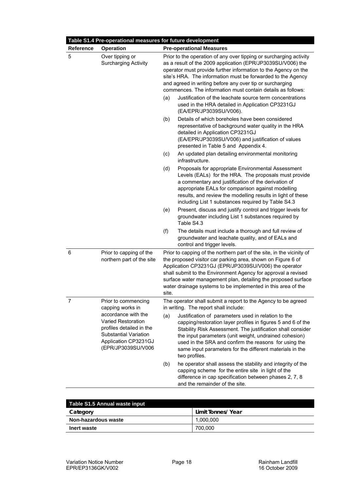|           | Table S1.4 Pre-operational measures for future development                                                                                          |       |                                                                                                                                                                                                                                                                                                                                                                                                 |
|-----------|-----------------------------------------------------------------------------------------------------------------------------------------------------|-------|-------------------------------------------------------------------------------------------------------------------------------------------------------------------------------------------------------------------------------------------------------------------------------------------------------------------------------------------------------------------------------------------------|
| Reference | <b>Operation</b>                                                                                                                                    |       | <b>Pre-operational Measures</b>                                                                                                                                                                                                                                                                                                                                                                 |
| 5         | Over tipping or<br><b>Surcharging Activity</b>                                                                                                      |       | Prior to the operation of any over tipping or surcharging activity<br>as a result of the 2009 application (EPR/JP3039SU/V006) the<br>operator must provide further information to the Agency on the<br>site's HRA. The information must be forwarded to the Agency<br>and agreed in writing before any over tip or surcharging<br>commences. The information must contain details as follows:   |
|           |                                                                                                                                                     | (a)   | Justification of the leachate source term concentrations<br>used in the HRA detailed in Application CP3231GJ<br>(EA/EPR/JP3039SU/V006).                                                                                                                                                                                                                                                         |
|           |                                                                                                                                                     | (b)   | Details of which boreholes have been considered<br>representative of background water quality in the HRA<br>detailed in Application CP3231GJ<br>(EA/EPR/JP3039SU/V006) and justification of values<br>presented in Table 5 and Appendix 4.                                                                                                                                                      |
|           |                                                                                                                                                     | (c)   | An updated plan detailing environmental monitoring<br>infrastructure.                                                                                                                                                                                                                                                                                                                           |
|           |                                                                                                                                                     | (d)   | Proposals for appropriate Environmental Assessment<br>Levels (EALs) for the HRA. The proposals must provide<br>a commentary and justification of the derivation of<br>appropriate EALs for comparison against modelling<br>results, and review the modelling results in light of these<br>including List 1 substances required by Table S4.3                                                    |
|           |                                                                                                                                                     | (e)   | Present, discuss and justify control and trigger levels for<br>groundwater including List 1 substances required by<br>Table S4.3                                                                                                                                                                                                                                                                |
|           |                                                                                                                                                     | (f)   | The details must include a thorough and full review of<br>groundwater and leachate quality, and of EALs and<br>control and trigger levels.                                                                                                                                                                                                                                                      |
| 6         | Prior to capping of the<br>northern part of the site                                                                                                | site. | Prior to capping of the northern part of the site, in the vicinity of<br>the proposed visitor car parking area, shown on Figure 6 of<br>Application CP3231GJ (EPR/JP3039SU/V006) the operator<br>shall submit to the Environment Agency for approval a revised<br>surface water management plan, detailing the proposed surface<br>water drainage systems to be implemented in this area of the |
| 7         | Prior to commencing<br>capping works in                                                                                                             |       | The operator shall submit a report to the Agency to be agreed<br>in writing. The report shall include:                                                                                                                                                                                                                                                                                          |
|           | accordance with the<br>Varied Restoration<br>profiles detailed in the<br><b>Substantial Variation</b><br>Application CP3231GJ<br>(EPR/JP3039SU/V006 | (a)   | Justification of parameters used in relation to the<br>capping/restoration layer profiles in figures 5 and 6 of the<br>Stability Risk Assessment. The justification shall consider<br>the input parameters (unit weight, undrained cohesion)<br>used in the SRA and confirm the reasons for using the<br>same input parameters for the different materials in the<br>two profiles.              |
|           |                                                                                                                                                     | (b)   | he operator shall assess the stability and integrity of the<br>capping scheme for the entire site in light of the<br>difference in cap specification between phases 2, 7, 8<br>and the remainder of the site.                                                                                                                                                                                   |

| Table S1.5 Annual waste input |                    |  |  |
|-------------------------------|--------------------|--|--|
| Category                      | Limit Tonnes/ Year |  |  |
| Non-hazardous waste           | 1.000.000          |  |  |
| Inert waste                   | 700.000            |  |  |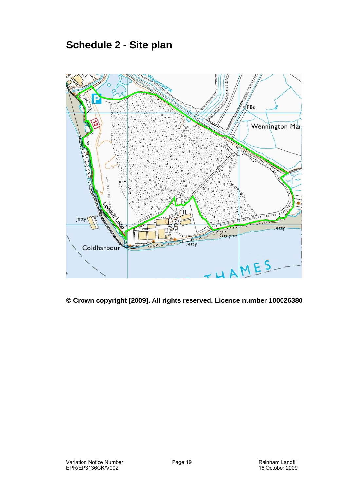## **Schedule 2 - Site plan**



**© Crown copyright [2009]. All rights reserved. Licence number 100026380**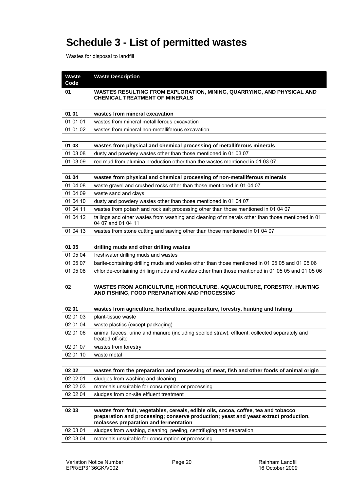# **Schedule 3 - List of permitted wastes**

Wastes for disposal to landfill

| <b>Waste</b><br>Code | <b>Waste Description</b>                                                                                                                                                                                             |
|----------------------|----------------------------------------------------------------------------------------------------------------------------------------------------------------------------------------------------------------------|
| 01                   | WASTES RESULTING FROM EXPLORATION, MINING, QUARRYING, AND PHYSICAL AND<br><b>CHEMICAL TREATMENT OF MINERALS</b>                                                                                                      |
|                      |                                                                                                                                                                                                                      |
| 01 01                | wastes from mineral excavation                                                                                                                                                                                       |
| 01 01 01             | wastes from mineral metalliferous excavation                                                                                                                                                                         |
| 01 01 02             | wastes from mineral non-metalliferous excavation                                                                                                                                                                     |
|                      |                                                                                                                                                                                                                      |
| 01 03                | wastes from physical and chemical processing of metalliferous minerals                                                                                                                                               |
| 01 03 08             | dusty and powdery wastes other than those mentioned in 01 03 07                                                                                                                                                      |
| 01 03 09             | red mud from alumina production other than the wastes mentioned in 01 03 07                                                                                                                                          |
|                      |                                                                                                                                                                                                                      |
| 01 04                | wastes from physical and chemical processing of non-metalliferous minerals                                                                                                                                           |
| 01 04 08             | waste gravel and crushed rocks other than those mentioned in 01 04 07                                                                                                                                                |
| 01 04 09             | waste sand and clays                                                                                                                                                                                                 |
| 01 04 10             | dusty and powdery wastes other than those mentioned in 01 04 07                                                                                                                                                      |
| 01 04 11             | wastes from potash and rock salt processing other than those mentioned in 01 04 07                                                                                                                                   |
| 01 04 12             | tailings and other wastes from washing and cleaning of minerals other than those mentioned in 01<br>04 07 and 01 04 11                                                                                               |
| 01 04 13             | wastes from stone cutting and sawing other than those mentioned in 01 04 07                                                                                                                                          |
|                      |                                                                                                                                                                                                                      |
| 01 05                | drilling muds and other drilling wastes                                                                                                                                                                              |
| 01 05 04             | freshwater drilling muds and wastes                                                                                                                                                                                  |
| 01 05 07             | barite-containing drilling muds and wastes other than those mentioned in 01 05 05 and 01 05 06                                                                                                                       |
| 01 05 08             | chloride-containing drilling muds and wastes other than those mentioned in 01 05 05 and 01 05 06                                                                                                                     |
| 02                   | WASTES FROM AGRICULTURE, HORTICULTURE, AQUACULTURE, FORESTRY, HUNTING<br>AND FISHING, FOOD PREPARATION AND PROCESSING                                                                                                |
|                      |                                                                                                                                                                                                                      |
| 02 01                | wastes from agriculture, horticulture, aquaculture, forestry, hunting and fishing                                                                                                                                    |
| 02 01 03             | plant-tissue waste                                                                                                                                                                                                   |
| 02 01 04             | waste plastics (except packaging)                                                                                                                                                                                    |
| 02 01 06             | animal faeces, urine and manure (including spoiled straw), effluent, collected separately and<br>treated off-site                                                                                                    |
| 02 01 07             | wastes from forestry                                                                                                                                                                                                 |
| 02 01 10             | waste metal                                                                                                                                                                                                          |
|                      |                                                                                                                                                                                                                      |
| 02 02                | wastes from the preparation and processing of meat, fish and other foods of animal origin                                                                                                                            |
| 02 02 01             | sludges from washing and cleaning                                                                                                                                                                                    |
| 02 02 03<br>02 02 04 | materials unsuitable for consumption or processing<br>sludges from on-site effluent treatment                                                                                                                        |
|                      |                                                                                                                                                                                                                      |
| 02 03                | wastes from fruit, vegetables, cereals, edible oils, cocoa, coffee, tea and tobacco<br>preparation and processing; conserve production; yeast and yeast extract production,<br>molasses preparation and fermentation |
| 02 03 01             | sludges from washing, cleaning, peeling, centrifuging and separation                                                                                                                                                 |
| 02 03 04             | materials unsuitable for consumption or processing                                                                                                                                                                   |
|                      |                                                                                                                                                                                                                      |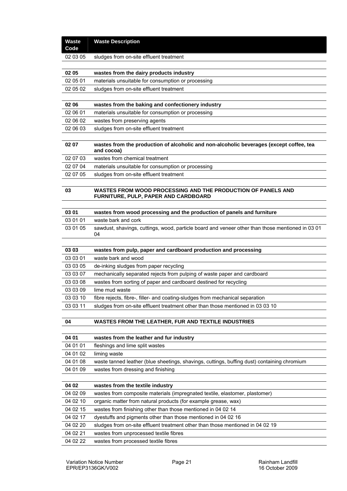| <b>Waste</b><br>Code | <b>Waste Description</b>                                                                               |
|----------------------|--------------------------------------------------------------------------------------------------------|
| 02 03 05             | sludges from on-site effluent treatment                                                                |
|                      |                                                                                                        |
| 02 05                | wastes from the dairy products industry                                                                |
| 02 05 01             | materials unsuitable for consumption or processing                                                     |
| 02 05 02             | sludges from on-site effluent treatment                                                                |
|                      |                                                                                                        |
| 02 06                | wastes from the baking and confectionery industry                                                      |
| 02 06 01             | materials unsuitable for consumption or processing                                                     |
| 02 06 02             | wastes from preserving agents                                                                          |
| 02 06 03             | sludges from on-site effluent treatment                                                                |
|                      |                                                                                                        |
| 02 07                | wastes from the production of alcoholic and non-alcoholic beverages (except coffee, tea<br>and cocoa)  |
| 02 07 03             | wastes from chemical treatment                                                                         |
| 02 07 04             | materials unsuitable for consumption or processing                                                     |
| 02 07 05             | sludges from on-site effluent treatment                                                                |
| 03                   | WASTES FROM WOOD PROCESSING AND THE PRODUCTION OF PANELS AND<br>FURNITURE, PULP, PAPER AND CARDBOARD   |
|                      |                                                                                                        |
| 03 01                | wastes from wood processing and the production of panels and furniture                                 |
| 03 01 01<br>03 01 05 | waste bark and cork                                                                                    |
|                      | sawdust, shavings, cuttings, wood, particle board and veneer other than those mentioned in 03 01<br>04 |
| 03 03                | wastes from pulp, paper and cardboard production and processing                                        |
| 03 03 01             | waste bark and wood                                                                                    |
| 03 03 05             | de-inking sludges from paper recycling                                                                 |
| 03 03 07             | mechanically separated rejects from pulping of waste paper and cardboard                               |
| 03 03 08             | wastes from sorting of paper and cardboard destined for recycling                                      |
| 03 03 09             | lime mud waste                                                                                         |
| 03 03 10             | fibre rejects, fibre-, filler- and coating-sludges from mechanical separation                          |
| 03 03 11             | sludges from on-site effluent treatment other than those mentioned in 03 03 10                         |
|                      |                                                                                                        |
| 04                   | WASTES FROM THE LEATHER, FUR AND TEXTILE INDUSTRIES                                                    |
|                      |                                                                                                        |
| 04 01                | wastes from the leather and fur industry                                                               |
| 04 01 01             |                                                                                                        |
|                      | fleshings and lime split wastes                                                                        |
| 04 01 02             | liming waste                                                                                           |
| 04 01 08             | waste tanned leather (blue sheetings, shavings, cuttings, buffing dust) containing chromium            |
| 04 01 09             | wastes from dressing and finishing                                                                     |
|                      |                                                                                                        |
| 04 02                | wastes from the textile industry                                                                       |
| 04 02 09             | wastes from composite materials (impregnated textile, elastomer, plastomer)                            |
| 04 02 10             | organic matter from natural products (for example grease, wax)                                         |
| 04 02 15             | wastes from finishing other than those mentioned in 04 02 14                                           |
| 04 02 17             | dyestuffs and pigments other than those mentioned in 04 02 16                                          |
| 04 02 20             | sludges from on-site effluent treatment other than those mentioned in 04 02 19                         |
| 04 02 21<br>04 02 22 | wastes from unprocessed textile fibres<br>wastes from processed textile fibres                         |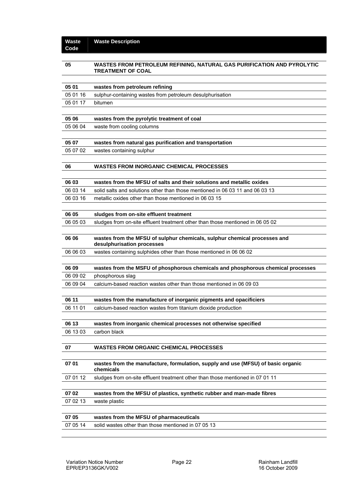| 05       | WASTES FROM PETROLEUM REFINING, NATURAL GAS PURIFICATION AND PYROLYTIC<br><b>TREATMENT OF COAL</b>      |
|----------|---------------------------------------------------------------------------------------------------------|
|          |                                                                                                         |
| 05 01    | wastes from petroleum refining                                                                          |
| 05 01 16 | sulphur-containing wastes from petroleum desulphurisation                                               |
| 05 01 17 | bitumen                                                                                                 |
|          |                                                                                                         |
| 05 06    | wastes from the pyrolytic treatment of coal                                                             |
| 05 06 04 | waste from cooling columns                                                                              |
| 05 07    | wastes from natural gas purification and transportation                                                 |
| 05 07 02 | wastes containing sulphur                                                                               |
|          |                                                                                                         |
| 06       | <b>WASTES FROM INORGANIC CHEMICAL PROCESSES</b>                                                         |
|          |                                                                                                         |
| 06 03    | wastes from the MFSU of salts and their solutions and metallic oxides                                   |
| 06 03 14 | solid salts and solutions other than those mentioned in 06 03 11 and 06 03 13                           |
| 06 03 16 | metallic oxides other than those mentioned in 06 03 15                                                  |
|          |                                                                                                         |
| 06 05    | sludges from on-site effluent treatment                                                                 |
| 06 05 03 | sludges from on-site effluent treatment other than those mentioned in 06 05 02                          |
|          |                                                                                                         |
| 06 06    | wastes from the MFSU of sulphur chemicals, sulphur chemical processes and<br>desulphurisation processes |
| 06 06 03 | wastes containing sulphides other than those mentioned in 06 06 02                                      |
|          |                                                                                                         |
| 06 09    | wastes from the MSFU of phosphorous chemicals and phosphorous chemical processes                        |
| 06 09 02 | phosphorous slag                                                                                        |
| 06 09 04 | calcium-based reaction wastes other than those mentioned in 06 09 03                                    |
|          |                                                                                                         |
| 06 11    | wastes from the manufacture of inorganic pigments and opacificiers                                      |
| 06 11 01 | calcium-based reaction wastes from titanium dioxide production                                          |
|          |                                                                                                         |
| 06 13    | wastes from inorganic chemical processes not otherwise specified                                        |
| 06 13 03 | carbon black                                                                                            |
| 07       |                                                                                                         |
|          | <b>WASTES FROM ORGANIC CHEMICAL PROCESSES</b>                                                           |
| 07 01    | wastes from the manufacture, formulation, supply and use (MFSU) of basic organic<br>chemicals           |
| 07 01 12 |                                                                                                         |
|          | sludges from on-site effluent treatment other than those mentioned in 07 01 11                          |
| 07 02    | wastes from the MFSU of plastics, synthetic rubber and man-made fibres                                  |
| 07 02 13 | waste plastic                                                                                           |
|          |                                                                                                         |
| 07 05    | wastes from the MFSU of pharmaceuticals                                                                 |
| 07 05 14 | solid wastes other than those mentioned in 07 05 13                                                     |
|          |                                                                                                         |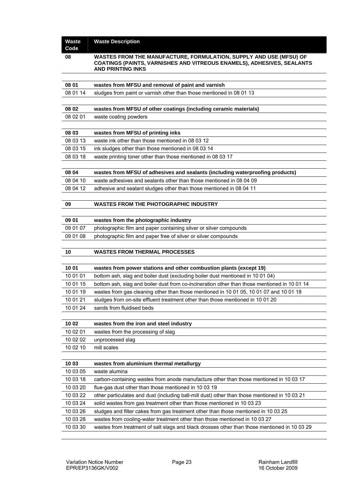| <b>Waste</b><br>Code | <b>Waste Description</b>                                                                                                                                                 |
|----------------------|--------------------------------------------------------------------------------------------------------------------------------------------------------------------------|
| 08                   | WASTES FROM THE MANUFACTURE, FORMULATION, SUPPLY AND USE (MFSU) OF<br>COATINGS (PAINTS, VARNISHES AND VITREOUS ENAMELS), ADHESIVES, SEALANTS<br><b>AND PRINTING INKS</b> |
| 08 01                | wastes from MFSU and removal of paint and varnish                                                                                                                        |
|                      |                                                                                                                                                                          |
| 08 01 14             | sludges from paint or varnish other than those mentioned in 08 01 13                                                                                                     |
| 08 02                | wastes from MFSU of other coatings (including ceramic materials)                                                                                                         |
| 08 02 01             | waste coating powders                                                                                                                                                    |
| 08 03                | wastes from MFSU of printing inks                                                                                                                                        |
| 08 03 13             | waste ink other than those mentioned in 08 03 12                                                                                                                         |
| 08 03 15             | ink sludges other than those mentioned in 08 03 14                                                                                                                       |
| 08 03 18             | waste printing toner other than those mentioned in 08 03 17                                                                                                              |
|                      |                                                                                                                                                                          |
| 08 04                | wastes from MFSU of adhesives and sealants (including waterproofing products)                                                                                            |
| 08 04 10             | waste adhesives and sealants other than those mentioned in 08 04 09                                                                                                      |
| 08 04 12             | adhesive and sealant sludges other than those mentioned in 08 04 11                                                                                                      |
|                      |                                                                                                                                                                          |
| 09                   | <b>WASTES FROM THE PHOTOGRAPHIC INDUSTRY</b>                                                                                                                             |
|                      |                                                                                                                                                                          |
| 09 01                | wastes from the photographic industry                                                                                                                                    |
| 09 01 07             | photographic film and paper containing silver or silver compounds                                                                                                        |
| 09 01 08             | photographic film and paper free of silver or silver compounds                                                                                                           |
|                      |                                                                                                                                                                          |
| 10                   | <b>WASTES FROM THERMAL PROCESSES</b>                                                                                                                                     |
|                      |                                                                                                                                                                          |
| 10 01                | wastes from power stations and other combustion plants (except 19)                                                                                                       |
| 10 01 01             | bottom ash, slag and boiler dust (excluding boiler dust mentioned in 10 01 04)                                                                                           |
| 10 01 15             | bottom ash, slag and boiler dust from co-incineration other than those mentioned in 10 01 14                                                                             |
| 10 01 19<br>10 01 21 | wastes from gas cleaning other than those mentioned in 10 01 05, 10 01 07 and 10 01 18<br>sludges from on-site effluent treatment other than those mentioned in 10 01 20 |
| 10 01 24             | sands from fluidised beds                                                                                                                                                |
|                      |                                                                                                                                                                          |
| 10 02                | wastes from the iron and steel industry                                                                                                                                  |
| 10 02 01             | wastes from the processing of slag                                                                                                                                       |
| 10 02 02             | unprocessed slag                                                                                                                                                         |
| 10 02 10             | mill scales                                                                                                                                                              |
|                      |                                                                                                                                                                          |
| 10 03                | wastes from aluminium thermal metallurgy                                                                                                                                 |
| 10 03 05             | waste alumina                                                                                                                                                            |
| 10 03 18             | carbon-containing wastes from anode manufacture other than those mentioned in 10 03 17                                                                                   |
| 10 03 20             | flue-gas dust other than those mentioned in 10 03 19                                                                                                                     |
| 10 03 22             | other particulates and dust (including ball-mill dust) other than those mentioned in 10 03 21                                                                            |
| 10 03 24             | solid wastes from gas treatment other than those mentioned in 10 03 23                                                                                                   |
| 10 03 26             | sludges and filter cakes from gas treatment other than those mentioned in 10 03 25                                                                                       |
| 10 03 28             | wastes from cooling-water treatment other than those mentioned in 10 03 27                                                                                               |
| 10 03 30             | wastes from treatment of salt slags and black drosses other than those mentioned in 10 03 29                                                                             |
|                      |                                                                                                                                                                          |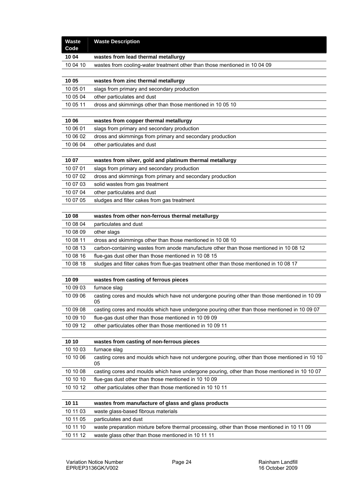| <b>Waste</b><br>Code | <b>Waste Description</b>                                                                             |
|----------------------|------------------------------------------------------------------------------------------------------|
| 10 04                | wastes from lead thermal metallurgy                                                                  |
| 10 04 10             | wastes from cooling-water treatment other than those mentioned in 10 04 09                           |
|                      |                                                                                                      |
| 10 05                | wastes from zinc thermal metallurgy                                                                  |
| 10 05 01             | slags from primary and secondary production                                                          |
| 10 05 04             | other particulates and dust                                                                          |
| 10 05 11             | dross and skimmings other than those mentioned in 10 05 10                                           |
|                      |                                                                                                      |
| 10 06                | wastes from copper thermal metallurgy                                                                |
| 10 06 01             | slags from primary and secondary production                                                          |
| 10 06 02             | dross and skimmings from primary and secondary production                                            |
| 10 06 04             | other particulates and dust                                                                          |
|                      |                                                                                                      |
| 10 07                | wastes from silver, gold and platinum thermal metallurgy                                             |
| 10 07 01             | slags from primary and secondary production                                                          |
| 10 07 02             | dross and skimmings from primary and secondary production                                            |
| 10 07 03<br>10 07 04 | solid wastes from gas treatment                                                                      |
|                      | other particulates and dust                                                                          |
| 10 07 05             | sludges and filter cakes from gas treatment                                                          |
| 10 08                | wastes from other non-ferrous thermal metallurgy                                                     |
| 10 08 04             | particulates and dust                                                                                |
| 10 08 09             | other slags                                                                                          |
| 10 08 11             | dross and skimmings other than those mentioned in 10 08 10                                           |
| 10 08 13             | carbon-containing wastes from anode manufacture other than those mentioned in 10 08 12               |
| 10 08 16             | flue-gas dust other than those mentioned in 10 08 15                                                 |
| 10 08 18             | sludges and filter cakes from flue-gas treatment other than those mentioned in 10 08 17              |
|                      |                                                                                                      |
| 10 09                | wastes from casting of ferrous pieces                                                                |
| 10 09 03             | furnace slag                                                                                         |
| 10 09 06             | casting cores and moulds which have not undergone pouring other than those mentioned in 10 09<br>05  |
| 10 09 08             | casting cores and moulds which have undergone pouring other than those mentioned in 10 09 07         |
| 10 09 10             | flue-gas dust other than those mentioned in 10 09 09                                                 |
| 10 09 12             | other particulates other than those mentioned in 10 09 11                                            |
|                      |                                                                                                      |
| 10 10                | wastes from casting of non-ferrous pieces                                                            |
| 10 10 03             | furnace slag                                                                                         |
| 10 10 06             | casting cores and moulds which have not undergone pouring, other than those mentioned in 10 10<br>05 |
| 10 10 08             | casting cores and moulds which have undergone pouring, other than those mentioned in 10 10 07        |
| 10 10 10             | flue-gas dust other than those mentioned in 10 10 09                                                 |
| 10 10 12             | other particulates other than those mentioned in 10 10 11                                            |
|                      |                                                                                                      |
| 10 11                | wastes from manufacture of glass and glass products                                                  |
| 10 11 03             | waste glass-based fibrous materials                                                                  |
| 10 11 05             | particulates and dust                                                                                |
| 10 11 10             | waste preparation mixture before thermal processing, other than those mentioned in 10 11 09          |
| 10 11 12             | waste glass other than those mentioned in 10 11 11                                                   |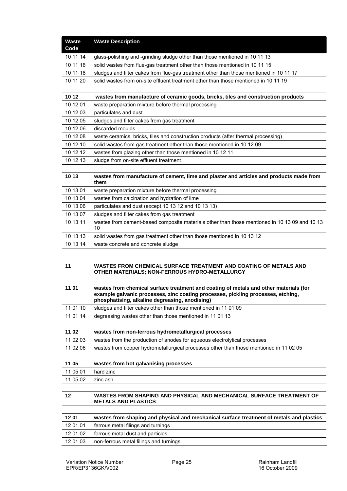| 10 11 14<br>glass-polishing and -grinding sludge other than those mentioned in 10 11 13<br>10 11 16<br>solid wastes from flue-gas treatment other than those mentioned in 10 11 15<br>10 11 18<br>sludges and filter cakes from flue-gas treatment other than those mentioned in 10 11 17<br>10 11 20<br>solid wastes from on-site effluent treatment other than those mentioned in 10 11 19<br>10 12<br>wastes from manufacture of ceramic goods, bricks, tiles and construction products<br>10 12 01<br>waste preparation mixture before thermal processing<br>10 12 03<br>particulates and dust<br>10 12 05<br>sludges and filter cakes from gas treatment<br>10 12 06<br>discarded moulds<br>10 12 08<br>waste ceramics, bricks, tiles and construction products (after thermal processing)<br>10 12 10<br>solid wastes from gas treatment other than those mentioned in 10 12 09<br>10 12 12<br>wastes from glazing other than those mentioned in 10 12 11<br>10 12 13<br>sludge from on-site effluent treatment<br>10 13<br>wastes from manufacture of cement, lime and plaster and articles and products made from<br>them<br>10 13 01<br>waste preparation mixture before thermal processing<br>10 13 04<br>wastes from calcination and hydration of lime<br>10 13 06<br>particulates and dust (except 10 13 12 and 10 13 13)<br>10 13 07<br>sludges and filter cakes from gas treatment<br>10 13 11<br>wastes from cement-based composite materials other than those mentioned in 10 13 09 and 10 13<br>10<br>10 13 13<br>solid wastes from gas treatment other than those mentioned in 10 13 12<br>10 13 14<br>waste concrete and concrete sludge |
|-------------------------------------------------------------------------------------------------------------------------------------------------------------------------------------------------------------------------------------------------------------------------------------------------------------------------------------------------------------------------------------------------------------------------------------------------------------------------------------------------------------------------------------------------------------------------------------------------------------------------------------------------------------------------------------------------------------------------------------------------------------------------------------------------------------------------------------------------------------------------------------------------------------------------------------------------------------------------------------------------------------------------------------------------------------------------------------------------------------------------------------------------------------------------------------------------------------------------------------------------------------------------------------------------------------------------------------------------------------------------------------------------------------------------------------------------------------------------------------------------------------------------------------------------------------------------------------------------------------------------------------------------------------|
|                                                                                                                                                                                                                                                                                                                                                                                                                                                                                                                                                                                                                                                                                                                                                                                                                                                                                                                                                                                                                                                                                                                                                                                                                                                                                                                                                                                                                                                                                                                                                                                                                                                             |
|                                                                                                                                                                                                                                                                                                                                                                                                                                                                                                                                                                                                                                                                                                                                                                                                                                                                                                                                                                                                                                                                                                                                                                                                                                                                                                                                                                                                                                                                                                                                                                                                                                                             |
|                                                                                                                                                                                                                                                                                                                                                                                                                                                                                                                                                                                                                                                                                                                                                                                                                                                                                                                                                                                                                                                                                                                                                                                                                                                                                                                                                                                                                                                                                                                                                                                                                                                             |
|                                                                                                                                                                                                                                                                                                                                                                                                                                                                                                                                                                                                                                                                                                                                                                                                                                                                                                                                                                                                                                                                                                                                                                                                                                                                                                                                                                                                                                                                                                                                                                                                                                                             |
|                                                                                                                                                                                                                                                                                                                                                                                                                                                                                                                                                                                                                                                                                                                                                                                                                                                                                                                                                                                                                                                                                                                                                                                                                                                                                                                                                                                                                                                                                                                                                                                                                                                             |
|                                                                                                                                                                                                                                                                                                                                                                                                                                                                                                                                                                                                                                                                                                                                                                                                                                                                                                                                                                                                                                                                                                                                                                                                                                                                                                                                                                                                                                                                                                                                                                                                                                                             |
|                                                                                                                                                                                                                                                                                                                                                                                                                                                                                                                                                                                                                                                                                                                                                                                                                                                                                                                                                                                                                                                                                                                                                                                                                                                                                                                                                                                                                                                                                                                                                                                                                                                             |
|                                                                                                                                                                                                                                                                                                                                                                                                                                                                                                                                                                                                                                                                                                                                                                                                                                                                                                                                                                                                                                                                                                                                                                                                                                                                                                                                                                                                                                                                                                                                                                                                                                                             |
|                                                                                                                                                                                                                                                                                                                                                                                                                                                                                                                                                                                                                                                                                                                                                                                                                                                                                                                                                                                                                                                                                                                                                                                                                                                                                                                                                                                                                                                                                                                                                                                                                                                             |
|                                                                                                                                                                                                                                                                                                                                                                                                                                                                                                                                                                                                                                                                                                                                                                                                                                                                                                                                                                                                                                                                                                                                                                                                                                                                                                                                                                                                                                                                                                                                                                                                                                                             |
|                                                                                                                                                                                                                                                                                                                                                                                                                                                                                                                                                                                                                                                                                                                                                                                                                                                                                                                                                                                                                                                                                                                                                                                                                                                                                                                                                                                                                                                                                                                                                                                                                                                             |
|                                                                                                                                                                                                                                                                                                                                                                                                                                                                                                                                                                                                                                                                                                                                                                                                                                                                                                                                                                                                                                                                                                                                                                                                                                                                                                                                                                                                                                                                                                                                                                                                                                                             |
|                                                                                                                                                                                                                                                                                                                                                                                                                                                                                                                                                                                                                                                                                                                                                                                                                                                                                                                                                                                                                                                                                                                                                                                                                                                                                                                                                                                                                                                                                                                                                                                                                                                             |
|                                                                                                                                                                                                                                                                                                                                                                                                                                                                                                                                                                                                                                                                                                                                                                                                                                                                                                                                                                                                                                                                                                                                                                                                                                                                                                                                                                                                                                                                                                                                                                                                                                                             |
|                                                                                                                                                                                                                                                                                                                                                                                                                                                                                                                                                                                                                                                                                                                                                                                                                                                                                                                                                                                                                                                                                                                                                                                                                                                                                                                                                                                                                                                                                                                                                                                                                                                             |
|                                                                                                                                                                                                                                                                                                                                                                                                                                                                                                                                                                                                                                                                                                                                                                                                                                                                                                                                                                                                                                                                                                                                                                                                                                                                                                                                                                                                                                                                                                                                                                                                                                                             |
|                                                                                                                                                                                                                                                                                                                                                                                                                                                                                                                                                                                                                                                                                                                                                                                                                                                                                                                                                                                                                                                                                                                                                                                                                                                                                                                                                                                                                                                                                                                                                                                                                                                             |
|                                                                                                                                                                                                                                                                                                                                                                                                                                                                                                                                                                                                                                                                                                                                                                                                                                                                                                                                                                                                                                                                                                                                                                                                                                                                                                                                                                                                                                                                                                                                                                                                                                                             |
|                                                                                                                                                                                                                                                                                                                                                                                                                                                                                                                                                                                                                                                                                                                                                                                                                                                                                                                                                                                                                                                                                                                                                                                                                                                                                                                                                                                                                                                                                                                                                                                                                                                             |
|                                                                                                                                                                                                                                                                                                                                                                                                                                                                                                                                                                                                                                                                                                                                                                                                                                                                                                                                                                                                                                                                                                                                                                                                                                                                                                                                                                                                                                                                                                                                                                                                                                                             |
|                                                                                                                                                                                                                                                                                                                                                                                                                                                                                                                                                                                                                                                                                                                                                                                                                                                                                                                                                                                                                                                                                                                                                                                                                                                                                                                                                                                                                                                                                                                                                                                                                                                             |
|                                                                                                                                                                                                                                                                                                                                                                                                                                                                                                                                                                                                                                                                                                                                                                                                                                                                                                                                                                                                                                                                                                                                                                                                                                                                                                                                                                                                                                                                                                                                                                                                                                                             |
|                                                                                                                                                                                                                                                                                                                                                                                                                                                                                                                                                                                                                                                                                                                                                                                                                                                                                                                                                                                                                                                                                                                                                                                                                                                                                                                                                                                                                                                                                                                                                                                                                                                             |
|                                                                                                                                                                                                                                                                                                                                                                                                                                                                                                                                                                                                                                                                                                                                                                                                                                                                                                                                                                                                                                                                                                                                                                                                                                                                                                                                                                                                                                                                                                                                                                                                                                                             |
| 11<br>WASTES FROM CHEMICAL SURFACE TREATMENT AND COATING OF METALS AND<br>OTHER MATERIALS; NON-FERROUS HYDRO-METALLURGY                                                                                                                                                                                                                                                                                                                                                                                                                                                                                                                                                                                                                                                                                                                                                                                                                                                                                                                                                                                                                                                                                                                                                                                                                                                                                                                                                                                                                                                                                                                                     |
|                                                                                                                                                                                                                                                                                                                                                                                                                                                                                                                                                                                                                                                                                                                                                                                                                                                                                                                                                                                                                                                                                                                                                                                                                                                                                                                                                                                                                                                                                                                                                                                                                                                             |
| 11 01<br>wastes from chemical surface treatment and coating of metals and other materials (for<br>example galvanic processes, zinc coating processes, pickling processes, etching,<br>phosphatising, alkaline degreasing, anodising)                                                                                                                                                                                                                                                                                                                                                                                                                                                                                                                                                                                                                                                                                                                                                                                                                                                                                                                                                                                                                                                                                                                                                                                                                                                                                                                                                                                                                        |
| 11 01 10<br>sludges and filter cakes other than those mentioned in 11 01 09                                                                                                                                                                                                                                                                                                                                                                                                                                                                                                                                                                                                                                                                                                                                                                                                                                                                                                                                                                                                                                                                                                                                                                                                                                                                                                                                                                                                                                                                                                                                                                                 |
| 11 01 14<br>degreasing wastes other than those mentioned in 11 01 13                                                                                                                                                                                                                                                                                                                                                                                                                                                                                                                                                                                                                                                                                                                                                                                                                                                                                                                                                                                                                                                                                                                                                                                                                                                                                                                                                                                                                                                                                                                                                                                        |
|                                                                                                                                                                                                                                                                                                                                                                                                                                                                                                                                                                                                                                                                                                                                                                                                                                                                                                                                                                                                                                                                                                                                                                                                                                                                                                                                                                                                                                                                                                                                                                                                                                                             |
| 11 02<br>wastes from non-ferrous hydrometallurgical processes                                                                                                                                                                                                                                                                                                                                                                                                                                                                                                                                                                                                                                                                                                                                                                                                                                                                                                                                                                                                                                                                                                                                                                                                                                                                                                                                                                                                                                                                                                                                                                                               |
| 11 02 03<br>wastes from the production of anodes for aqueous electrolytical processes                                                                                                                                                                                                                                                                                                                                                                                                                                                                                                                                                                                                                                                                                                                                                                                                                                                                                                                                                                                                                                                                                                                                                                                                                                                                                                                                                                                                                                                                                                                                                                       |
| 11 02 06<br>wastes from copper hydrometallurgical processes other than those mentioned in 11 02 05                                                                                                                                                                                                                                                                                                                                                                                                                                                                                                                                                                                                                                                                                                                                                                                                                                                                                                                                                                                                                                                                                                                                                                                                                                                                                                                                                                                                                                                                                                                                                          |
|                                                                                                                                                                                                                                                                                                                                                                                                                                                                                                                                                                                                                                                                                                                                                                                                                                                                                                                                                                                                                                                                                                                                                                                                                                                                                                                                                                                                                                                                                                                                                                                                                                                             |
| 11 05<br>wastes from hot galvanising processes                                                                                                                                                                                                                                                                                                                                                                                                                                                                                                                                                                                                                                                                                                                                                                                                                                                                                                                                                                                                                                                                                                                                                                                                                                                                                                                                                                                                                                                                                                                                                                                                              |
| 11 05 01<br>hard zinc                                                                                                                                                                                                                                                                                                                                                                                                                                                                                                                                                                                                                                                                                                                                                                                                                                                                                                                                                                                                                                                                                                                                                                                                                                                                                                                                                                                                                                                                                                                                                                                                                                       |
| 11 05 02<br>zinc ash                                                                                                                                                                                                                                                                                                                                                                                                                                                                                                                                                                                                                                                                                                                                                                                                                                                                                                                                                                                                                                                                                                                                                                                                                                                                                                                                                                                                                                                                                                                                                                                                                                        |
| 12<br>WASTES FROM SHAPING AND PHYSICAL AND MECHANICAL SURFACE TREATMENT OF<br><b>METALS AND PLASTICS</b>                                                                                                                                                                                                                                                                                                                                                                                                                                                                                                                                                                                                                                                                                                                                                                                                                                                                                                                                                                                                                                                                                                                                                                                                                                                                                                                                                                                                                                                                                                                                                    |
|                                                                                                                                                                                                                                                                                                                                                                                                                                                                                                                                                                                                                                                                                                                                                                                                                                                                                                                                                                                                                                                                                                                                                                                                                                                                                                                                                                                                                                                                                                                                                                                                                                                             |
| 1201<br>wastes from shaping and physical and mechanical surface treatment of metals and plastics                                                                                                                                                                                                                                                                                                                                                                                                                                                                                                                                                                                                                                                                                                                                                                                                                                                                                                                                                                                                                                                                                                                                                                                                                                                                                                                                                                                                                                                                                                                                                            |
| 12 01 01<br>ferrous metal filings and turnings                                                                                                                                                                                                                                                                                                                                                                                                                                                                                                                                                                                                                                                                                                                                                                                                                                                                                                                                                                                                                                                                                                                                                                                                                                                                                                                                                                                                                                                                                                                                                                                                              |
| 12 01 02<br>ferrous metal dust and particles                                                                                                                                                                                                                                                                                                                                                                                                                                                                                                                                                                                                                                                                                                                                                                                                                                                                                                                                                                                                                                                                                                                                                                                                                                                                                                                                                                                                                                                                                                                                                                                                                |
| non-ferrous metal filings and turnings<br>12 01 03                                                                                                                                                                                                                                                                                                                                                                                                                                                                                                                                                                                                                                                                                                                                                                                                                                                                                                                                                                                                                                                                                                                                                                                                                                                                                                                                                                                                                                                                                                                                                                                                          |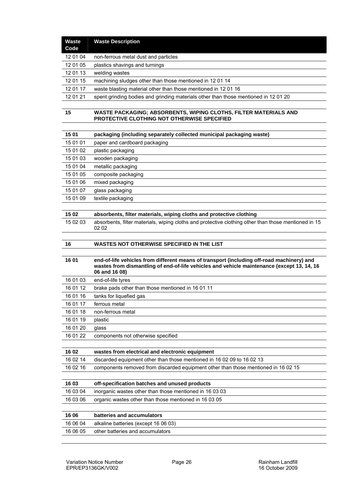| <b>Waste</b><br>Code | <b>Waste Description</b>                                                                                                                                                                                 |
|----------------------|----------------------------------------------------------------------------------------------------------------------------------------------------------------------------------------------------------|
| 12 01 04             | non-ferrous metal dust and particles                                                                                                                                                                     |
| 12 01 05             | plastics shavings and turnings                                                                                                                                                                           |
| 12 01 13             | welding wastes                                                                                                                                                                                           |
| 12 01 15             | machining sludges other than those mentioned in 12 01 14                                                                                                                                                 |
| 12 01 17             | waste blasting material other than those mentioned in 12 01 16                                                                                                                                           |
| 12 01 21             | spent grinding bodies and grinding materials other than those mentioned in 12 01 20                                                                                                                      |
|                      |                                                                                                                                                                                                          |
| 15                   | WASTE PACKAGING; ABSORBENTS, WIPING CLOTHS, FILTER MATERIALS AND<br>PROTECTIVE CLOTHING NOT OTHERWISE SPECIFIED                                                                                          |
|                      |                                                                                                                                                                                                          |
| 15 01                | packaging (including separately collected municipal packaging waste)                                                                                                                                     |
| 15 01 01             | paper and cardboard packaging                                                                                                                                                                            |
| 15 01 02             | plastic packaging                                                                                                                                                                                        |
| 15 01 03             | wooden packaging                                                                                                                                                                                         |
| 15 01 04             | metallic packaging                                                                                                                                                                                       |
| 15 01 05             | composite packaging                                                                                                                                                                                      |
| 15 01 06             | mixed packaging                                                                                                                                                                                          |
| 15 01 07             | glass packaging                                                                                                                                                                                          |
| 15 01 09             | textile packaging                                                                                                                                                                                        |
| 15 02                | absorbents, filter materials, wiping cloths and protective clothing                                                                                                                                      |
| 15 02 03             | absorbents, filter materials, wiping cloths and protective clothing other than those mentioned in 15                                                                                                     |
|                      | 02 02                                                                                                                                                                                                    |
| 16                   | WASTES NOT OTHERWISE SPECIFIED IN THE LIST                                                                                                                                                               |
|                      |                                                                                                                                                                                                          |
| 16 01                | end-of-life vehicles from different means of transport (including off-road machinery) and<br>wastes from dismantling of end-of-life vehicles and vehicle maintenance (except 13, 14, 16<br>06 and 16 08) |
| 16 01 03             | end-of-life tyres                                                                                                                                                                                        |
| 16 01 12             | brake pads other than those mentioned in 16 01 11                                                                                                                                                        |
| 16 01 16             | tanks for liquefied gas                                                                                                                                                                                  |
| 16 01 17             | ferrous metal                                                                                                                                                                                            |
| 16 01 18             | non-ferrous metal                                                                                                                                                                                        |
| 16 01 19             | plastic                                                                                                                                                                                                  |
| 16 01 20             | glass                                                                                                                                                                                                    |
| 16 01 22             | components not otherwise specified                                                                                                                                                                       |
|                      |                                                                                                                                                                                                          |
| 16 02                | wastes from electrical and electronic equipment                                                                                                                                                          |
| 16 02 14             | discarded equipment other than those mentioned in 16 02 09 to 16 02 13                                                                                                                                   |
| 16 02 16             | components removed from discarded equipment other than those mentioned in 16 02 15                                                                                                                       |
|                      |                                                                                                                                                                                                          |
| 16 03                | off-specification batches and unused products                                                                                                                                                            |
| 16 03 04             | inorganic wastes other than those mentioned in 16 03 03                                                                                                                                                  |
| 16 03 06             | organic wastes other than those mentioned in 16 03 05                                                                                                                                                    |
| 16 06                | batteries and accumulators                                                                                                                                                                               |
| 16 06 04             | alkaline batteries (except 16 06 03)                                                                                                                                                                     |
| 16 06 05             | other batteries and accumulators                                                                                                                                                                         |
|                      |                                                                                                                                                                                                          |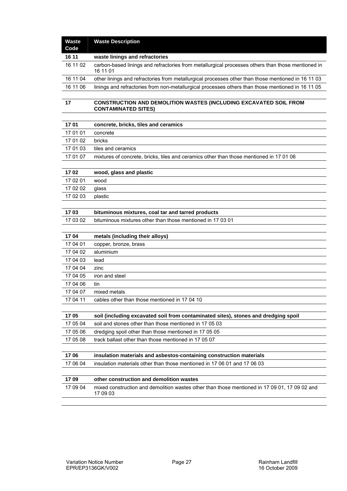| <b>Waste</b><br>Code | <b>Waste Description</b>                                                                                      |
|----------------------|---------------------------------------------------------------------------------------------------------------|
| 16 11                | waste linings and refractories                                                                                |
| 16 11 02             | carbon-based linings and refractories from metallurgical processes others than those mentioned in<br>16 11 01 |
| 16 11 04             | other linings and refractories from metallurgical processes other than those mentioned in 16 11 03            |
| 16 11 06             | linings and refractories from non-metallurgical processes others than those mentioned in 16 11 05             |
|                      |                                                                                                               |
| 17                   | <b>CONSTRUCTION AND DEMOLITION WASTES (INCLUDING EXCAVATED SOIL FROM</b><br><b>CONTAMINATED SITES)</b>        |
| 1701                 | concrete, bricks, tiles and ceramics                                                                          |
| 17 01 01             | concrete                                                                                                      |
| 17 01 02             | bricks                                                                                                        |
| 17 01 03             | tiles and ceramics                                                                                            |
| 17 01 07             | mixtures of concrete, bricks, tiles and ceramics other than those mentioned in 17 01 06                       |
| 1702                 | wood, glass and plastic                                                                                       |
| 17 02 01             | wood                                                                                                          |
| 17 02 02             | glass                                                                                                         |
| 17 02 03             | plastic                                                                                                       |
|                      |                                                                                                               |
| 1703                 | bituminous mixtures, coal tar and tarred products                                                             |
| 17 03 02             | bituminous mixtures other than those mentioned in 17 03 01                                                    |
| 1704                 | metals (including their alloys)                                                                               |
| 17 04 01             | copper, bronze, brass                                                                                         |
| 17 04 02             | aluminium                                                                                                     |
| 17 04 03             | lead                                                                                                          |
| 17 04 04             | zinc                                                                                                          |
| 17 04 05             | iron and steel                                                                                                |
| 17 04 06             | tin                                                                                                           |
| 17 04 07             | mixed metals                                                                                                  |
| 17 04 11             | cables other than those mentioned in 17 04 10                                                                 |
| 1705                 | soil (including excavated soil from contaminated sites), stones and dredging spoil                            |
| 17 05 04             | soil and stones other than those mentioned in 17 05 03                                                        |
| 17 05 06             | dredging spoil other than those mentioned in 17 05 05                                                         |
| 17 05 08             | track ballast other than those mentioned in 17 05 07                                                          |
|                      |                                                                                                               |
| 1706                 | insulation materials and asbestos-containing construction materials                                           |
| 17 06 04             | insulation materials other than those mentioned in 17 06 01 and 17 06 03                                      |
| 1709                 | other construction and demolition wastes                                                                      |
| 17 09 04             | mixed construction and demolition wastes other than those mentioned in 17 09 01, 17 09 02 and<br>17 09 03     |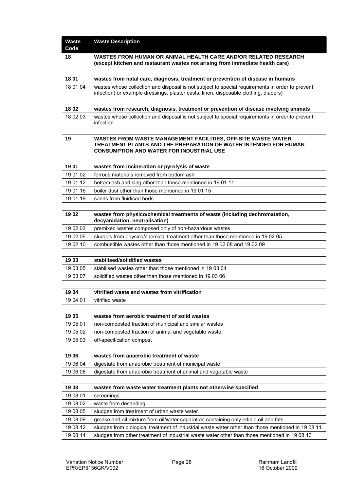| <b>Waste</b><br>Code | <b>Waste Description</b>                                                                                                                                                                |
|----------------------|-----------------------------------------------------------------------------------------------------------------------------------------------------------------------------------------|
| 18                   | WASTES FROM HUMAN OR ANIMAL HEALTH CARE AND/OR RELATED RESEARCH<br>(except kitchen and restaurant wastes not arising from immediate health care)                                        |
|                      |                                                                                                                                                                                         |
| 18 01                | wastes from natal care, diagnosis, treatment or prevention of disease in humans                                                                                                         |
| 18 01 04             | wastes whose collection and disposal is not subject to special requirements in order to prevent<br>infection(for example dressings, plaster casts, linen, disposable clothing, diapers) |
| 18 02                | wastes from research, diagnosis, treatment or prevention of disease involving animals                                                                                                   |
| 18 02 03             | wastes whose collection and disposal is not subject to special requirements in order to prevent<br>infection                                                                            |
| 19                   | WASTES FROM WASTE MANAGEMENT FACILITIES, OFF-SITE WASTE WATER<br>TREATMENT PLANTS AND THE PREPARATION OF WATER INTENDED FOR HUMAN<br><b>CONSUMPTION AND WATER FOR INDUSTRIAL USE</b>    |
| 1901                 | wastes from incineration or pyrolysis of waste                                                                                                                                          |
| 19 01 02             | ferrous materials removed from bottom ash                                                                                                                                               |
| 19 01 12             | bottom ash and slag other than those mentioned in 19 01 11                                                                                                                              |
| 19 01 16             | boiler dust other than those mentioned in 1901 15                                                                                                                                       |
| 19 01 19             | sands from fluidised beds                                                                                                                                                               |
|                      |                                                                                                                                                                                         |
| 1902                 | wastes from physico/chemical treatments of waste (including dechromatation,<br>decyanidation, neutralisation)                                                                           |
| 19 02 03             | premixed wastes composed only of non-hazardous wastes                                                                                                                                   |
| 19 02 06             | sludges from physico/chemical treatment other than those mentioned in 19 02 05                                                                                                          |
| 19 02 10             | combustible wastes other than those mentioned in 1902 08 and 1902 09                                                                                                                    |
|                      |                                                                                                                                                                                         |
| 1903                 | stabilised/solidified wastes                                                                                                                                                            |
| 19 03 05             | stabilised wastes other than those mentioned in 19 03 04                                                                                                                                |
| 19 03 07             | solidified wastes other than those mentioned in 19 03 06                                                                                                                                |
|                      |                                                                                                                                                                                         |
| 1904                 | vitrified waste and wastes from vitrification                                                                                                                                           |
| 19 04 01             | vitrified waste                                                                                                                                                                         |
|                      |                                                                                                                                                                                         |
| 1905                 | wastes from aerobic treatment of solid wastes                                                                                                                                           |
| 19 05 01             | non-composted fraction of municipal and similar wastes                                                                                                                                  |
| 19 05 02             | non-composted fraction of animal and vegetable waste                                                                                                                                    |
| 19 05 03             | off-specification compost                                                                                                                                                               |
|                      |                                                                                                                                                                                         |
| 1906                 | wastes from anaerobic treatment of waste                                                                                                                                                |
| 19 06 04             | digestate from anaerobic treatment of municipal waste                                                                                                                                   |
| 19 06 06             | digestate from anaerobic treatment of animal and vegetable waste                                                                                                                        |
|                      |                                                                                                                                                                                         |
| 1908                 | wastes from waste water treatment plants not otherwise specified                                                                                                                        |
| 19 08 01             | screenings                                                                                                                                                                              |
| 19 08 02             | waste from desanding                                                                                                                                                                    |
| 19 08 05             | sludges from treatment of urban waste water                                                                                                                                             |
| 19 08 09             | grease and oil mixture from oil/water separation containing only edible oil and fats                                                                                                    |
| 19 08 12             | sludges from biological treatment of industrial waste water other than those mentioned in 19 08 11                                                                                      |
| 19 08 14             | sludges from other treatment of industrial waste water other than those mentioned in 19 08 13                                                                                           |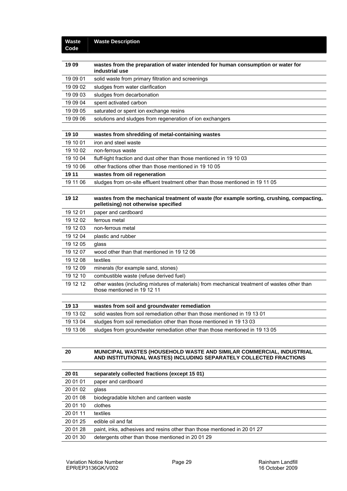#### **Waste Code Waste Description**

| 1909     | wastes from the preparation of water intended for human consumption or water for<br>industrial use                                |
|----------|-----------------------------------------------------------------------------------------------------------------------------------|
| 19 09 01 | solid waste from primary filtration and screenings                                                                                |
| 19 09 02 | sludges from water clarification                                                                                                  |
| 19 09 03 | sludges from decarbonation                                                                                                        |
| 19 09 04 | spent activated carbon                                                                                                            |
| 19 09 05 | saturated or spent ion exchange resins                                                                                            |
| 19 09 06 | solutions and sludges from regeneration of ion exchangers                                                                         |
|          |                                                                                                                                   |
| 19 10    | wastes from shredding of metal-containing wastes                                                                                  |
| 19 10 01 | iron and steel waste                                                                                                              |
| 19 10 02 | non-ferrous waste                                                                                                                 |
| 19 10 04 | fluff-light fraction and dust other than those mentioned in 19 10 03                                                              |
| 19 10 06 | other fractions other than those mentioned in 19 10 05                                                                            |
| 19 11    | wastes from oil regeneration                                                                                                      |
| 19 11 06 | sludges from on-site effluent treatment other than those mentioned in 19 11 05                                                    |
|          |                                                                                                                                   |
| 19 12    | wastes from the mechanical treatment of waste (for example sorting, crushing, compacting,<br>pelletising) not otherwise specified |
| 19 12 01 | paper and cardboard                                                                                                               |
| 19 12 02 | ferrous metal                                                                                                                     |
| 19 12 03 | non-ferrous metal                                                                                                                 |
| 19 12 04 | plastic and rubber                                                                                                                |
| 19 12 05 | glass                                                                                                                             |
| 19 12 07 | wood other than that mentioned in 19 12 06                                                                                        |
| 19 12 08 | textiles                                                                                                                          |
| 19 12 09 | minerals (for example sand, stones)                                                                                               |
| 19 12 10 | combustible waste (refuse derived fuel)                                                                                           |
| 19 12 12 | other wastes (including mixtures of materials) from mechanical treatment of wastes other than<br>those mentioned in 19 12 11      |
|          |                                                                                                                                   |
| 19 13    | wastes from soil and groundwater remediation                                                                                      |
| 19 13 02 | solid wastes from soil remediation other than those mentioned in 19 13 01                                                         |
| 19 13 04 | sludges from soil remediation other than those mentioned in 19 13 03                                                              |
| 19 13 06 | sludges from groundwater remediation other than those mentioned in 19 13 05                                                       |
|          |                                                                                                                                   |

#### **20 MUNICIPAL WASTES (HOUSEHOLD WASTE AND SIMILAR COMMERCIAL, INDUSTRIAL AND INSTITUTIONAL WASTES) INCLUDING SEPARATELY COLLECTED FRACTIONS**

| 20 01    | separately collected fractions (except 15 01)                          |
|----------|------------------------------------------------------------------------|
| 20 01 01 | paper and cardboard                                                    |
| 20 01 02 | glass                                                                  |
| 20 01 08 | biodegradable kitchen and canteen waste                                |
| 20 01 10 | clothes                                                                |
| 20 01 11 | textiles                                                               |
| 20 01 25 | edible oil and fat                                                     |
| 20 01 28 | paint, inks, adhesives and resins other than those mentioned in 200127 |
| 20 01 30 | detergents other than those mentioned in 20 01 29                      |
|          |                                                                        |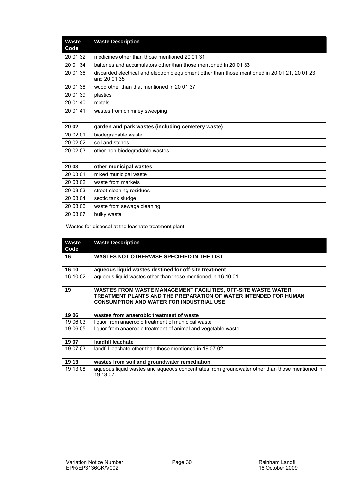| <b>Waste</b><br>Code | <b>Waste Description</b>                                                                                       |
|----------------------|----------------------------------------------------------------------------------------------------------------|
| 20 01 32             | medicines other than those mentioned 20 01 31                                                                  |
| 20 01 34             | batteries and accumulators other than those mentioned in 2001 33                                               |
| 20 01 36             | discarded electrical and electronic equipment other than those mentioned in 20 01 21, 20 01 23<br>and 20 01 35 |
| 20 01 38             | wood other than that mentioned in 20 01 37                                                                     |
| 20 01 39             | plastics                                                                                                       |
| 20 01 40             | metals                                                                                                         |
| 20 01 41             | wastes from chimney sweeping                                                                                   |
|                      |                                                                                                                |
| 20 02                | garden and park wastes (including cemetery waste)                                                              |
| 20 02 01             | biodegradable waste                                                                                            |
| 20 02 02             | soil and stones                                                                                                |
| 20 02 03             | other non-biodegradable wastes                                                                                 |
|                      |                                                                                                                |
| 20 03                | other municipal wastes                                                                                         |
| 20 03 01             | mixed municipal waste                                                                                          |
| 20 03 02             | waste from markets                                                                                             |
| 20 03 03             | street-cleaning residues                                                                                       |
| 20 03 04             | septic tank sludge                                                                                             |
| 20 03 06             | waste from sewage cleaning                                                                                     |
| 20 03 07             | bulky waste                                                                                                    |

Wastes for disposal at the leachate treatment plant

| Waste<br>Code | <b>Waste Description</b>                                                                                  |
|---------------|-----------------------------------------------------------------------------------------------------------|
| 16            | WASTES NOT OTHERWISE SPECIFIED IN THE LIST                                                                |
|               |                                                                                                           |
| 16 10         | aqueous liquid wastes destined for off-site treatment                                                     |
| 16 10 02      | aqueous liquid wastes other than those mentioned in 16 10 01                                              |
|               |                                                                                                           |
| 19            | WASTES FROM WASTE MANAGEMENT FACILITIES, OFF-SITE WASTE WATER                                             |
|               | TREATMENT PLANTS AND THE PREPARATION OF WATER INTENDED FOR HUMAN                                          |
|               | <b>CONSUMPTION AND WATER FOR INDUSTRIAL USE</b>                                                           |
|               |                                                                                                           |
| 1906          | wastes from anaerobic treatment of waste                                                                  |
| 19 06 03      | liquor from anaerobic treatment of municipal waste                                                        |
| 19 06 05      | liquor from anaerobic treatment of animal and vegetable waste                                             |
|               |                                                                                                           |
| 1907          | landfill leachate                                                                                         |
| 19 07 03      | landfill leachate other than those mentioned in 190702                                                    |
|               |                                                                                                           |
| 19 13         | wastes from soil and groundwater remediation                                                              |
| 19 13 08      | aqueous liquid wastes and aqueous concentrates from groundwater other than those mentioned in<br>19 13 07 |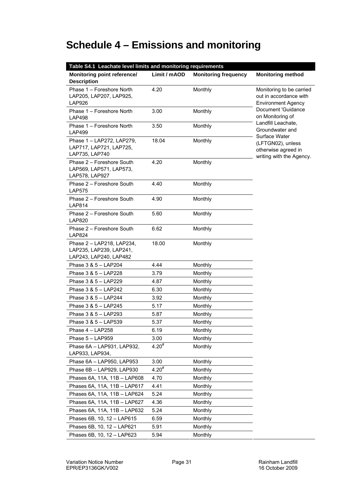# **Schedule 4 – Emissions and monitoring**

| Table S4.1 Leachate level limits and monitoring requirements                   |              |                             |                                                                                 |  |  |  |
|--------------------------------------------------------------------------------|--------------|-----------------------------|---------------------------------------------------------------------------------|--|--|--|
| Monitoring point reference/<br><b>Description</b>                              | Limit / mAOD | <b>Monitoring frequency</b> | <b>Monitoring method</b>                                                        |  |  |  |
| Phase 1 - Foreshore North<br>LAP205, LAP207, LAP925,<br><b>LAP926</b>          | 4.20         | Monthly                     | Monitoring to be carried<br>out in accordance with<br><b>Environment Agency</b> |  |  |  |
| Phase 1 - Foreshore North<br><b>LAP498</b>                                     | 3.00         | Monthly                     | Document 'Guidance<br>on Monitoring of                                          |  |  |  |
| Phase 1 - Foreshore North<br><b>LAP499</b>                                     | 3.50         | Monthly                     | Landfill Leachate,<br>Groundwater and<br>Surface Water                          |  |  |  |
| Phase 1 - LAP272, LAP279,<br>LAP717, LAP721, LAP725,<br>LAP735, LAP740         | 18.04        | Monthly                     | (LFTGN02), unless<br>otherwise agreed in<br>writing with the Agency.            |  |  |  |
| Phase 2 - Foreshore South<br>LAP569, LAP571, LAP573,<br>LAP578, LAP927         | 4.20         | Monthly                     |                                                                                 |  |  |  |
| Phase 2 - Foreshore South<br><b>LAP575</b>                                     | 4.40         | Monthly                     |                                                                                 |  |  |  |
| Phase 2 - Foreshore South<br><b>LAP814</b>                                     | 4.90         | Monthly                     |                                                                                 |  |  |  |
| Phase 2 - Foreshore South<br><b>LAP820</b>                                     | 5.60         | Monthly                     |                                                                                 |  |  |  |
| Phase 2 - Foreshore South<br><b>LAP824</b>                                     | 6.62         | Monthly                     |                                                                                 |  |  |  |
| Phase 2 - LAP218, LAP234,<br>LAP235, LAP239, LAP241,<br>LAP243, LAP240, LAP482 | 18.00        | Monthly                     |                                                                                 |  |  |  |
| Phase 3 & 5 - LAP204                                                           | 4.44         | Monthly                     |                                                                                 |  |  |  |
| Phase 3 & 5 - LAP228                                                           | 3.79         | Monthly                     |                                                                                 |  |  |  |
| Phase 3 & 5 - LAP229                                                           | 4.87         | Monthly                     |                                                                                 |  |  |  |
| Phase 3 & 5 - LAP242                                                           | 6.30         | Monthly                     |                                                                                 |  |  |  |
| Phase 3 & 5 - LAP244                                                           | 3.92         | Monthly                     |                                                                                 |  |  |  |
| Phase 3 & 5 - LAP245                                                           | 5.17         | Monthly                     |                                                                                 |  |  |  |
| Phase 3 & 5 - LAP293                                                           | 5.87         | Monthly                     |                                                                                 |  |  |  |
| Phase 3 & 5 - LAP539                                                           | 5.37         | Monthly                     |                                                                                 |  |  |  |
| Phase 4 - LAP258                                                               | 6.19         | Monthly                     |                                                                                 |  |  |  |
| Phase 5 - LAP959                                                               | 3.00         | Monthly                     |                                                                                 |  |  |  |
| Phase 6A - LAP931, LAP932,<br>LAP933, LAP934,                                  | $4.20^{#}$   | <b>Monthly</b>              |                                                                                 |  |  |  |
| Phase 6A - LAP950, LAP953                                                      | 3.00         | Monthly                     |                                                                                 |  |  |  |
| Phase 6B - LAP929, LAP930                                                      | $4.20^{#}$   | Monthly                     |                                                                                 |  |  |  |
| Phases 6A, 11A, 11B - LAP608                                                   | 4.70         | Monthly                     |                                                                                 |  |  |  |
| Phases 6A, 11A, 11B - LAP617                                                   | 4.41         | Monthly                     |                                                                                 |  |  |  |
| Phases 6A, 11A, 11B - LAP624                                                   | 5.24         | Monthly                     |                                                                                 |  |  |  |
| Phases 6A, 11A, 11B - LAP627                                                   | 4.36         | Monthly                     |                                                                                 |  |  |  |
| Phases 6A, 11A, 11B - LAP632                                                   | 5.24         | Monthly                     |                                                                                 |  |  |  |
| Phases 6B, 10, 12 - LAP615                                                     | 6.59         | Monthly                     |                                                                                 |  |  |  |
| Phases 6B, 10, 12 - LAP621                                                     | 5.91         | Monthly                     |                                                                                 |  |  |  |
| Phases 6B, 10, 12 - LAP623                                                     | 5.94         | Monthly                     |                                                                                 |  |  |  |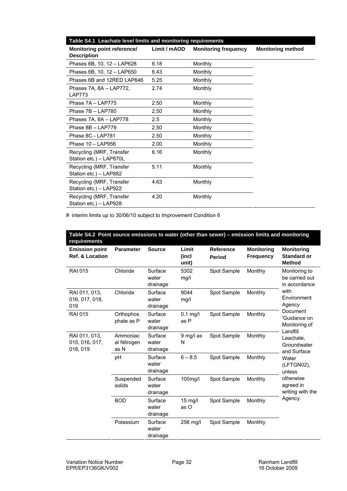| Table S4.1 Leachate level limits and monitoring requirements |              |                             |                          |  |  |  |
|--------------------------------------------------------------|--------------|-----------------------------|--------------------------|--|--|--|
| Monitoring point reference/<br><b>Description</b>            | Limit / mAOD | <b>Monitoring frequency</b> | <b>Monitoring method</b> |  |  |  |
| Phases 6B, 10, 12 - LAP628                                   | 6.18         | Monthly                     |                          |  |  |  |
| Phases 6B, 10, 12 - LAP650                                   | 6.43         | Monthly                     |                          |  |  |  |
| Phases 6B and 12RED LAP646                                   | 5.25         | Monthly                     |                          |  |  |  |
| Phases 7A, 8A - LAP772,<br><b>LAP773</b>                     | 2.74         | Monthly                     |                          |  |  |  |
| Phase 7A - LAP775                                            | 2.50         | Monthly                     |                          |  |  |  |
| Phase 7B - LAP780                                            | 2.50         | Monthly                     |                          |  |  |  |
| Phases 7A, 8A - LAP778                                       | $2.5\,$      | Monthly                     |                          |  |  |  |
| Phase 8B - LAP779                                            | 2.50         | Monthly                     |                          |  |  |  |
| Phase 8C - LAP781                                            | 2.50         | Monthly                     |                          |  |  |  |
| Phase 10 - LAP956                                            | 2.00         | Monthly                     |                          |  |  |  |
| Recycling (MRF, Transfer<br>Station etc.) - LAP870L          | 6.16         | Monthly                     |                          |  |  |  |
| Recycling (MRF, Transfer<br>Station etc.) - LAP882           | 5.11         | Monthly                     |                          |  |  |  |
| Recycling (MRF, Transfer<br>Station etc.) - LAP922           | 4.63         | Monthly                     |                          |  |  |  |
| Recycling (MRF, Transfer<br>Station etc.) - LAP928           | 4.20         | Monthly                     |                          |  |  |  |

# interim limits up to 30/06/10 subject to Improvement Condition 6

| Table S4.2 Point source emissions to water (other than sewer) – emission limits and monitoring<br>requirements |                                 |                              |                         |                                   |                                       |                                                          |
|----------------------------------------------------------------------------------------------------------------|---------------------------------|------------------------------|-------------------------|-----------------------------------|---------------------------------------|----------------------------------------------------------|
| <b>Emission point</b><br><b>Ref. &amp; Location</b>                                                            | <b>Parameter</b>                | <b>Source</b>                | Limit<br>(incl<br>unit) | <b>Reference</b><br><b>Period</b> | <b>Monitoring</b><br><b>Frequency</b> | <b>Monitoring</b><br><b>Standard or</b><br><b>Method</b> |
| <b>RAI 015</b>                                                                                                 | Chloride                        | Surface<br>water<br>drainage | 5302<br>mg/l            | Spot Sample                       | Monthly                               | Monitoring to<br>be carried out<br>in accordance         |
| RAI 011, 013,<br>016, 017, 018,<br>019                                                                         | Chloride                        | Surface<br>water<br>drainage | 9044<br>mg/l            | Spot Sample                       | Monthly                               | with<br>Environment<br>Agency                            |
| <b>RAI 015</b>                                                                                                 | Orthophos<br>phate as P         | Surface<br>water<br>drainage | $0.1$ mg/l<br>as P      | Spot Sample                       | Monthly                               | Document<br>'Guidance on<br>Monitoring of                |
| RAI 011, 013,<br>015, 016, 017,<br>018, 019                                                                    | Ammoniac<br>al Nitrogen<br>as N | Surface<br>water<br>drainage | 9 mg/l as<br>N          | Spot Sample                       | Monthly                               | Landfill<br>Leachate.<br>Groundwater<br>and Surface      |
|                                                                                                                | pH                              | Surface<br>water<br>drainage | $6 - 8.5$               | Spot Sample                       | Monthly                               | Water<br>(LFTGN02),<br>unless                            |
|                                                                                                                | Suspended<br>solids             | Surface<br>water<br>drainage | 100mg/l                 | Spot Sample                       | Monthly                               | otherwise<br>agreed in<br>writing with the               |
|                                                                                                                | <b>BOD</b>                      | Surface<br>water<br>drainage | $15$ mg/l<br>as O       | Spot Sample                       | Monthly                               | Agency.                                                  |
|                                                                                                                | Potassium                       | Surface<br>water<br>drainage | 256 mg/l                | Spot Sample                       | Monthly                               |                                                          |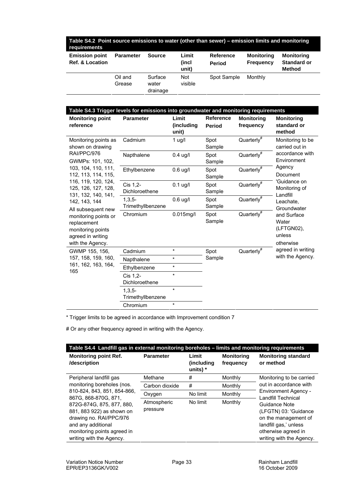| Table S4.2 Point source emissions to water (other than sewer) - emission limits and monitoring<br>requirements |                   |                              |                         |                            |                                       |                                                          |
|----------------------------------------------------------------------------------------------------------------|-------------------|------------------------------|-------------------------|----------------------------|---------------------------------------|----------------------------------------------------------|
| <b>Emission point</b><br><b>Ref. &amp; Location</b>                                                            | <b>Parameter</b>  | <b>Source</b>                | Limit<br>(incl<br>unit) | Reference<br><b>Period</b> | <b>Monitoring</b><br><b>Frequency</b> | <b>Monitoring</b><br><b>Standard or</b><br><b>Method</b> |
|                                                                                                                | Oil and<br>Grease | Surface<br>water<br>drainage | <b>Not</b><br>visible   | Spot Sample                | Monthly                               |                                                          |

| Table S4.3 Trigger levels for emissions into groundwater and monitoring requirements                                                                                                                          |                               |                              |                            |                                |                                                                      |  |  |
|---------------------------------------------------------------------------------------------------------------------------------------------------------------------------------------------------------------|-------------------------------|------------------------------|----------------------------|--------------------------------|----------------------------------------------------------------------|--|--|
| <b>Monitoring point</b><br>reference                                                                                                                                                                          | <b>Parameter</b>              | Limit<br>(including<br>unit) | <b>Reference</b><br>Period | <b>Monitoring</b><br>frequency | <b>Monitoring</b><br>standard or<br>method                           |  |  |
| Monitoring points as<br>shown on drawing                                                                                                                                                                      | Cadmium                       | 1 $\mu$ g/l                  | Spot<br>Sample             | Quarterly <sup>#</sup>         | Monitoring to be<br>carried out in<br>accordance with<br>Environment |  |  |
| RAI/PPC/976<br>GWMPs: 101, 102,                                                                                                                                                                               | Napthalene                    | $0.4$ ug/l                   | Spot<br>Sample             | Quarterly <sup>#</sup>         |                                                                      |  |  |
| 103, 104, 110, 111,<br>112, 113, 114, 115,                                                                                                                                                                    | Ethylbenzene                  | $0.6$ ug/l                   | Spot<br>Sample             | Quarterly <sup>#</sup>         | Agency<br>Document                                                   |  |  |
| 116, 119, 120, 124,<br>125, 126, 127, 128,<br>131, 132, 140, 141,<br>142, 143, 144<br>All subsequent new<br>monitoring points or<br>replacement<br>monitoring points<br>agreed in writing<br>with the Agency. | Cis 1,2-<br>Dichloroethene    | $0.1$ ug/l                   | Spot<br>Sample             | Quarterly <sup>#</sup>         | 'Guidance on<br>Monitoring of<br>Landfill                            |  |  |
|                                                                                                                                                                                                               | $1,3,5-$<br>Trimethyllbenzene | $0.6$ ug/l                   | Spot<br>Sample             | Quarterly <sup>#</sup>         | Leachate.<br>Groundwater                                             |  |  |
|                                                                                                                                                                                                               | Chromium                      | $0.015$ mg/l                 | Spot<br>Sample             | Quarterly <sup>#</sup>         | and Surface<br>Water<br>(LFTGN02),<br>unless<br>otherwise            |  |  |
| GWMP 155, 156,                                                                                                                                                                                                | Cadmium                       | $\star$                      | Spot                       | Quarterly <sup>#</sup>         | agreed in writing                                                    |  |  |
| 157, 158, 159, 160,                                                                                                                                                                                           | Napthalene                    | $\star$                      | Sample                     |                                | with the Agency.                                                     |  |  |
| 161, 162, 163, 164,<br>165                                                                                                                                                                                    | Ethylbenzene                  | $\star$                      |                            |                                |                                                                      |  |  |
|                                                                                                                                                                                                               | Cis 1,2-<br>Dichloroethene    | $\star$                      |                            |                                |                                                                      |  |  |
|                                                                                                                                                                                                               | $1,3,5-$<br>Trimethyllbenzene | $\star$                      |                            |                                |                                                                      |  |  |
|                                                                                                                                                                                                               | Chromium                      | $\star$                      |                            |                                |                                                                      |  |  |

\* Trigger limits to be agreed in accordance with Improvement condition 7

# Or any other frequency agreed in writing with the Agency.

| Table S4.4 Landfill gas in external monitoring boreholes - limits and monitoring requirements                                                                                                                                                           |                         |                                  |                                |                                                                                                                                            |  |
|---------------------------------------------------------------------------------------------------------------------------------------------------------------------------------------------------------------------------------------------------------|-------------------------|----------------------------------|--------------------------------|--------------------------------------------------------------------------------------------------------------------------------------------|--|
| <b>Monitoring point Ref.</b><br>/description                                                                                                                                                                                                            | <b>Parameter</b>        | Limit<br>(including)<br>units) * | <b>Monitoring</b><br>frequency | <b>Monitoring standard</b><br>or method                                                                                                    |  |
| Peripheral landfill gas                                                                                                                                                                                                                                 | Methane                 | #                                | Monthly                        | Monitoring to be carried                                                                                                                   |  |
| monitoring boreholes (nos.<br>810-824, 843, 851, 854-866,<br>867G. 868-870G. 871.<br>872G-874G, 875, 877, 880,<br>881, 883 922) as shown on<br>drawing no. RAI/PPC/976<br>and any additional<br>monitoring points agreed in<br>writing with the Agency. | Carbon dioxide          | #                                | Monthly                        | out in accordance with                                                                                                                     |  |
|                                                                                                                                                                                                                                                         | Oxygen                  | No limit                         | Monthly                        | Environment Agency -<br>Landfill Technical                                                                                                 |  |
|                                                                                                                                                                                                                                                         | Atmospheric<br>pressure | No limit                         | Monthly                        | Guidance Note<br>(LFGTN) 03: 'Guidance<br>on the management of<br>landfill gas,' unless<br>otherwise agreed in<br>writing with the Agency. |  |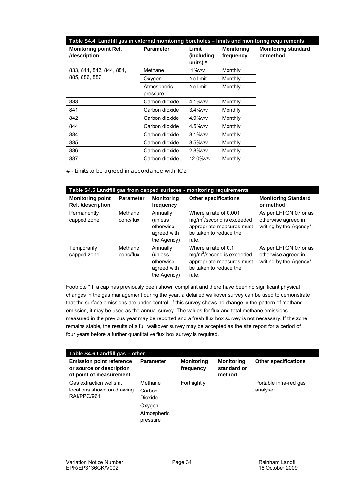| Table S4.4 Landfill gas in external monitoring boreholes - limits and monitoring requirements |                         |                                  |                                |                                         |  |
|-----------------------------------------------------------------------------------------------|-------------------------|----------------------------------|--------------------------------|-----------------------------------------|--|
| <b>Monitoring point Ref.</b><br>/description                                                  | <b>Parameter</b>        | Limit<br>(including)<br>units) * | <b>Monitoring</b><br>frequency | <b>Monitoring standard</b><br>or method |  |
| 833, 841, 842, 844, 884,                                                                      | Methane                 | 1%v/v                            | Monthly                        |                                         |  |
| 885, 886, 887                                                                                 | Oxygen                  | No limit                         | Monthly                        |                                         |  |
|                                                                                               | Atmospheric<br>pressure | No limit                         | Monthly                        |                                         |  |
| 833                                                                                           | Carbon dioxide          | $4.1\%$ v/v                      | Monthly                        |                                         |  |
| 841                                                                                           | Carbon dioxide          | $3.4\%$ v/v                      | Monthly                        |                                         |  |
| 842                                                                                           | Carbon dioxide          | $4.9\%$ v/v                      | Monthly                        |                                         |  |
| 844                                                                                           | Carbon dioxide          | $4.5\%$ v/v                      | Monthly                        |                                         |  |
| 884                                                                                           | Carbon dioxide          | $3.1\%$ v/v                      | Monthly                        |                                         |  |
| 885                                                                                           | Carbon dioxide          | $3.5\%$ v/v                      | Monthly                        |                                         |  |
| 886                                                                                           | Carbon dioxide          | $2.8\%$ v/v                      | Monthly                        |                                         |  |
| 887                                                                                           | Carbon dioxide          | $12.0\%$ v/v                     | Monthly                        |                                         |  |

 $#$  - Limits to be agreed in accordance with IC2

| Table S4.5 Landfill gas from capped surfaces - monitoring requirements |                      |                                                                 |                                                                                                                                |                                                                         |  |
|------------------------------------------------------------------------|----------------------|-----------------------------------------------------------------|--------------------------------------------------------------------------------------------------------------------------------|-------------------------------------------------------------------------|--|
| <b>Monitoring point</b><br><b>Ref.</b> /description                    | <b>Parameter</b>     | <b>Monitoring</b><br>frequency                                  | <b>Other specifications</b>                                                                                                    | <b>Monitoring Standard</b><br>or method                                 |  |
| Permanently<br>capped zone                                             | Methane<br>conc/flux | Annually<br>(unless)<br>otherwise<br>agreed with<br>the Agency) | Where a rate of 0.001<br>mg/m <sup>2</sup> /second is exceeded<br>appropriate measures must<br>be taken to reduce the<br>rate. | As per LFTGN 07 or as<br>otherwise agreed in<br>writing by the Agency*. |  |
| Temporarily<br>capped zone                                             | Methane<br>conc/flux | Annually<br>(unless)<br>otherwise<br>agreed with<br>the Agency) | Where a rate of 0.1<br>$mg/m^2$ /second is exceeded<br>appropriate measures must<br>be taken to reduce the<br>rate.            | As per LFTGN 07 or as<br>otherwise agreed in<br>writing by the Agency*. |  |

Footnote \* If a cap has previously been shown compliant and there have been no significant physical changes in the gas management during the year, a detailed walkover survey can be used to demonstrate that the surface emissions are under control. If this survey shows no change in the pattern of methane emission, it may be used as the annual survey. The values for flux and total methane emissions measured in the previous year may be reported and a fresh flux box survey is not necessary. If the zone remains stable, the results of a full walkover survey may be accepted as the site report for a period of four years before a further quantitative flux box survey is required.

| Table S4.6 Landfill gas - other                                                        |                                                                   |                                |                                            |                                    |  |
|----------------------------------------------------------------------------------------|-------------------------------------------------------------------|--------------------------------|--------------------------------------------|------------------------------------|--|
| <b>Emission point reference</b><br>or source or description<br>of point of measurement | <b>Parameter</b>                                                  | <b>Monitoring</b><br>frequency | <b>Monitoring</b><br>standard or<br>method | <b>Other specifications</b>        |  |
| Gas extraction wells at<br>locations shown on drawing<br>RAI/PPC/961                   | Methane<br>Carbon<br>Dioxide<br>Oxygen<br>Atmospheric<br>pressure | Fortnightly                    |                                            | Portable infra-red gas<br>analyser |  |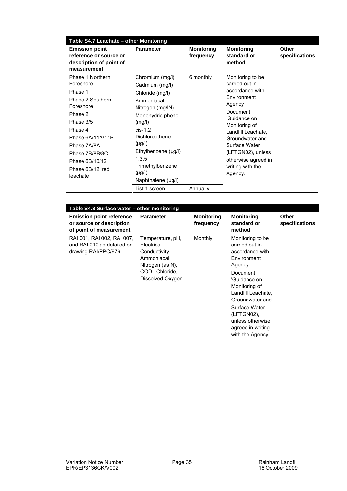| Table S4.7 Leachate - other Monitoring                                                                                                                                                                               |                                                                                                                                                                                                                                                              |                                |                                                                                                                                                                                                                                                                  |                         |  |  |  |
|----------------------------------------------------------------------------------------------------------------------------------------------------------------------------------------------------------------------|--------------------------------------------------------------------------------------------------------------------------------------------------------------------------------------------------------------------------------------------------------------|--------------------------------|------------------------------------------------------------------------------------------------------------------------------------------------------------------------------------------------------------------------------------------------------------------|-------------------------|--|--|--|
| <b>Emission point</b><br>reference or source or<br>description of point of<br>measurement                                                                                                                            | <b>Parameter</b>                                                                                                                                                                                                                                             | <b>Monitoring</b><br>frequency | <b>Monitoring</b><br>standard or<br>method                                                                                                                                                                                                                       | Other<br>specifications |  |  |  |
| Phase 1 Northern<br>Foreshore<br>Phase 1<br>Phase 2 Southern<br>Foreshore<br>Phase 2<br>Phase 3/5<br>Phase 4<br>Phase 6A/11A/11B<br>Phase 7A/8A<br>Phase 7B/8B/8C<br>Phase 6B/10/12<br>Phase 6B/12 'red'<br>leachate | Chromium (mg/l)<br>Cadmium (mg/l)<br>Chloride (mg/l)<br>Ammoniacal<br>Nitrogen (mg/IN)<br>Monohydric phenol<br>(mg/l)<br>$cis-1,2$<br>Dichloroethene<br>$(\mu g/l)$<br>Ethylbenzene (µg/l)<br>1,3,5<br>Trimethylbenzene<br>$(\mu g/l)$<br>Naphthalene (µg/l) | 6 monthly                      | Monitoring to be<br>carried out in<br>accordance with<br>Environment<br>Agency<br>Document<br>'Guidance on<br>Monitoring of<br>Landfill Leachate,<br>Groundwater and<br>Surface Water<br>(LFTGN02), unless<br>otherwise agreed in<br>writing with the<br>Agency. |                         |  |  |  |
|                                                                                                                                                                                                                      | List 1 screen                                                                                                                                                                                                                                                | Annually                       |                                                                                                                                                                                                                                                                  |                         |  |  |  |

| Table S4.8 Surface water - other monitoring                                            |                                                                                                                          |                                |                                                                                                                                                                                                                                                                  |                         |  |  |
|----------------------------------------------------------------------------------------|--------------------------------------------------------------------------------------------------------------------------|--------------------------------|------------------------------------------------------------------------------------------------------------------------------------------------------------------------------------------------------------------------------------------------------------------|-------------------------|--|--|
| <b>Emission point reference</b><br>or source or description<br>of point of measurement | <b>Parameter</b>                                                                                                         | <b>Monitoring</b><br>frequency | <b>Monitoring</b><br>standard or<br>method                                                                                                                                                                                                                       | Other<br>specifications |  |  |
| RAI 001, RAI 002, RAI 007,<br>and RAI 010 as detailed on<br>drawing RAI/PPC/976        | Temperature, pH,<br>Electrical<br>Conductivity,<br>Ammoniacal<br>Nitrogen (as N),<br>COD, Chloride,<br>Dissolved Oxygen. | Monthly                        | Monitoring to be<br>carried out in<br>accordance with<br>Environment<br>Agency<br>Document<br>'Guidance on<br>Monitoring of<br>Landfill Leachate,<br>Groundwater and<br>Surface Water<br>(LFTGN02),<br>unless otherwise<br>agreed in writing<br>with the Agency. |                         |  |  |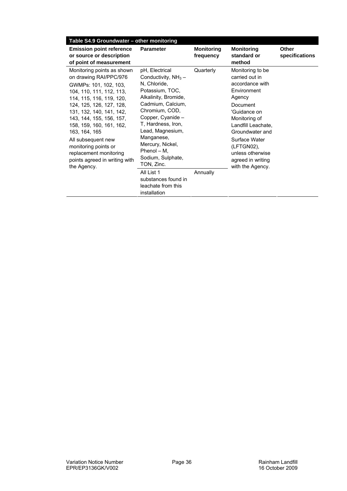| Table S4.9 Groundwater - other monitoring                                                                                                                                                                                                                                                                                                                                                      |                                                                                                                                                                                                                                                                                                                                                                         |                                |                                                                                                                                                                                                                                                                  |                         |
|------------------------------------------------------------------------------------------------------------------------------------------------------------------------------------------------------------------------------------------------------------------------------------------------------------------------------------------------------------------------------------------------|-------------------------------------------------------------------------------------------------------------------------------------------------------------------------------------------------------------------------------------------------------------------------------------------------------------------------------------------------------------------------|--------------------------------|------------------------------------------------------------------------------------------------------------------------------------------------------------------------------------------------------------------------------------------------------------------|-------------------------|
| <b>Emission point reference</b><br>or source or description<br>of point of measurement                                                                                                                                                                                                                                                                                                         | <b>Parameter</b>                                                                                                                                                                                                                                                                                                                                                        | <b>Monitoring</b><br>frequency | <b>Monitoring</b><br>standard or<br>method                                                                                                                                                                                                                       | Other<br>specifications |
| Monitoring points as shown<br>on drawing RAI/PPC/976<br>GWMPs: 101, 102, 103,<br>104, 110, 111, 112, 113,<br>114, 115, 116, 119, 120,<br>124, 125, 126, 127, 128,<br>131, 132, 140, 141, 142,<br>143, 144, 155, 156, 157,<br>158, 159, 160, 161, 162,<br>163, 164, 165<br>All subsequent new<br>monitoring points or<br>replacement monitoring<br>points agreed in writing with<br>the Agency. | pH, Electrical<br>Conductivity, $NH3$ –<br>N. Chloride.<br>Potassium, TOC,<br>Alkalinity, Bromide,<br>Cadmium, Calcium,<br>Chromium, COD,<br>Copper, Cyanide -<br>T, Hardness, Iron,<br>Lead, Magnesium,<br>Manganese,<br>Mercury, Nickel,<br>Phenol - M,<br>Sodium, Sulphate,<br>TON, Zinc.<br>All List 1<br>substances found in<br>leachate from this<br>installation | Quarterly<br>Annually          | Monitoring to be<br>carried out in<br>accordance with<br>Environment<br>Agency<br>Document<br>'Guidance on<br>Monitoring of<br>Landfill Leachate,<br>Groundwater and<br>Surface Water<br>(LFTGN02),<br>unless otherwise<br>agreed in writing<br>with the Agency. |                         |
|                                                                                                                                                                                                                                                                                                                                                                                                |                                                                                                                                                                                                                                                                                                                                                                         |                                |                                                                                                                                                                                                                                                                  |                         |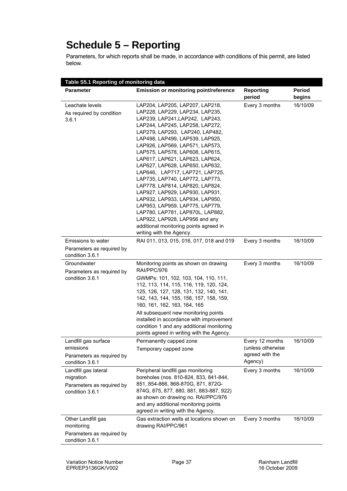## **Schedule 5 – Reporting**

Parameters, for which reports shall be made, in accordance with conditions of this permit, are listed below.

| Table S5.1 Reporting of monitoring data                                           |                                                                                                                                                                                                                                                                                                                                                                                                                                                                                                                                                                                                                                                                                                                          |                                                                    |                         |  |
|-----------------------------------------------------------------------------------|--------------------------------------------------------------------------------------------------------------------------------------------------------------------------------------------------------------------------------------------------------------------------------------------------------------------------------------------------------------------------------------------------------------------------------------------------------------------------------------------------------------------------------------------------------------------------------------------------------------------------------------------------------------------------------------------------------------------------|--------------------------------------------------------------------|-------------------------|--|
| <b>Parameter</b>                                                                  | Emission or monitoring point/reference                                                                                                                                                                                                                                                                                                                                                                                                                                                                                                                                                                                                                                                                                   | <b>Reporting</b><br>period                                         | <b>Period</b><br>begins |  |
| Leachate levels<br>As required by condition<br>3.6.1                              | LAP204, LAP205, LAP207, LAP218,<br>LAP228, LAP229, LAP234, LAP235,<br>LAP239, LAP241, LAP242, LAP243,<br>LAP244, LAP245, LAP258, LAP272,<br>LAP279, LAP293, LAP240, LAP482,<br>LAP498, LAP499, LAP539, LAP925,<br>LAP926, LAP569, LAP571, LAP573,<br>LAP575, LAP578, LAP608, LAP615,<br>LAP617, LAP621, LAP623, LAP624,<br>LAP627, LAP628, LAP650, LAP632,<br>LAP646, LAP717, LAP721, LAP725,<br>LAP735, LAP740, LAP772, LAP773,<br>LAP778, LAP814, LAP820, LAP824,<br>LAP927, LAP929, LAP930, LAP931,<br>LAP932, LAP933, LAP934, LAP950,<br>LAP953, LAP959, LAP775, LAP779,<br>LAP780, LAP781, LAP870L, LAP882,<br>LAP922, LAP928, LAP956 and any<br>additional monitoring points agreed in<br>writing with the Agency. | Every 3 months                                                     | 16/10/09                |  |
| <b>Emissions to water</b><br>Parameters as required by<br>condition 3.6.1         | RAI 011, 013, 015, 016, 017, 018 and 019                                                                                                                                                                                                                                                                                                                                                                                                                                                                                                                                                                                                                                                                                 | Every 3 months                                                     | 16/10/09                |  |
| Groundwater<br>Parameters as required by<br>condition 3.6.1                       | Monitoring points as shown on drawing<br>RAI/PPC/976<br>GWMPs: 101, 102, 103, 104, 110, 111,<br>112, 113, 114, 115, 116, 119, 120, 124,<br>125, 126, 127, 128, 131, 132, 140, 141,<br>142, 143, 144, 155, 156, 157, 158, 159,<br>160, 161, 162, 163, 164, 165<br>All subsequent new monitoring points<br>installed in accordance with improvement<br>condition 1 and any additional monitoring<br>points agreed in writing with the Agency.                                                                                                                                                                                                                                                                              | Every 3 months                                                     | 16/10/09                |  |
| Landfill gas surface<br>emissions<br>Parameters as required by<br>condition 3.6.1 | Permanently capped zone<br>Temporary capped zone                                                                                                                                                                                                                                                                                                                                                                                                                                                                                                                                                                                                                                                                         | Every 12 months<br>(unless otherwise<br>agreed with the<br>Agency) | 16/10/09                |  |
| Landfill gas lateral<br>migration<br>Parameters as required by<br>condition 3.6.1 | Peripheral landfill gas monitoring<br>boreholes (nos. 810-824, 833, 841-844,<br>851, 854-866, 868-870G, 871, 872G-<br>874G, 875, 877, 880, 881, 883-887, 922)<br>as shown on drawing no. RAI/PPC/976<br>and any additional monitoring points<br>agreed in writing with the Agency.                                                                                                                                                                                                                                                                                                                                                                                                                                       | Every 3 months                                                     | 16/10/09                |  |
| Other Landfill gas<br>monitoring<br>Parameters as required by<br>condition 3.6.1  | Gas extraction wells at locations shown on<br>drawing RAI/PPC/961                                                                                                                                                                                                                                                                                                                                                                                                                                                                                                                                                                                                                                                        | Every 3 months                                                     | 16/10/09                |  |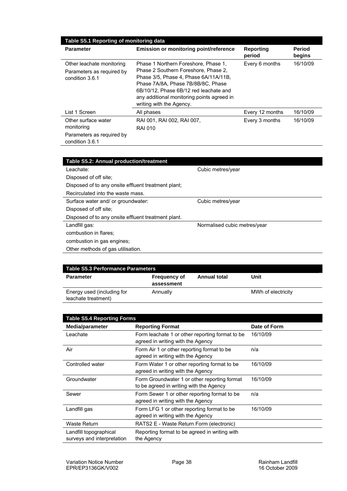| Table S5.1 Reporting of monitoring data                                           |                                                                                                                                                                                                                                                                                 |                     |                         |  |
|-----------------------------------------------------------------------------------|---------------------------------------------------------------------------------------------------------------------------------------------------------------------------------------------------------------------------------------------------------------------------------|---------------------|-------------------------|--|
| <b>Parameter</b>                                                                  | <b>Emission or monitoring point/reference</b>                                                                                                                                                                                                                                   | Reporting<br>period | <b>Period</b><br>begins |  |
| Other leachate monitoring<br>Parameters as required by<br>condition 3.6.1         | Phase 1 Northern Foreshore, Phase 1,<br>Phase 2 Southern Foreshore, Phase 2.<br>Phase 3/5, Phase 4, Phase 6A/11A/11B,<br>Phase 7A/8A, Phase 7B/8B/8C, Phase<br>6B/10/12, Phase 6B/12 red leachate and<br>any additional monitoring points agreed in<br>writing with the Agency. | Every 6 months      | 16/10/09                |  |
| List 1 Screen                                                                     | All phases                                                                                                                                                                                                                                                                      | Every 12 months     | 16/10/09                |  |
| Other surface water<br>monitoring<br>Parameters as required by<br>condition 3.6.1 | RAI 001, RAI 002, RAI 007,<br><b>RAI 010</b>                                                                                                                                                                                                                                    | Every 3 months      | 16/10/09                |  |

| Table S5.2: Annual production/treatment             |                              |  |
|-----------------------------------------------------|------------------------------|--|
| Leachate:                                           | Cubic metres/year            |  |
| Disposed of off site:                               |                              |  |
| Disposed of to any onsite effluent treatment plant; |                              |  |
| Recirculated into the waste mass.                   |                              |  |
| Surface water and/ or groundwater:                  | Cubic metres/year            |  |
| Disposed of off site:                               |                              |  |
| Disposed of to any onsite effluent treatment plant. |                              |  |
| Landfill gas:                                       | Normalised cubic metres/year |  |
| combustion in flares:                               |                              |  |
| combustion in gas engines;                          |                              |  |
| Other methods of gas utilisation.                   |                              |  |

| Table S5.3 Performance Parameters                 |                                   |                     |                    |  |
|---------------------------------------------------|-----------------------------------|---------------------|--------------------|--|
| <b>Parameter</b>                                  | <b>Frequency of</b><br>assessment | <b>Annual total</b> | Unit               |  |
| Energy used (including for<br>leachate treatment) | Annually                          |                     | MWh of electricity |  |

| <b>Table S5.4 Reporting Forms</b>                    |                                                                                         |              |  |
|------------------------------------------------------|-----------------------------------------------------------------------------------------|--------------|--|
| Media/parameter                                      | <b>Reporting Format</b>                                                                 | Date of Form |  |
| Leachate                                             | Form leachate 1 or other reporting format to be<br>agreed in writing with the Agency    | 16/10/09     |  |
| Air                                                  | Form Air 1 or other reporting format to be<br>agreed in writing with the Agency         | n/a          |  |
| Controlled water                                     | Form Water 1 or other reporting format to be<br>agreed in writing with the Agency       | 16/10/09     |  |
| Groundwater                                          | Form Groundwater 1 or other reporting format<br>to be agreed in writing with the Agency | 16/10/09     |  |
| Sewer                                                | Form Sewer 1 or other reporting format to be<br>agreed in writing with the Agency       | n/a          |  |
| Landfill gas                                         | Form LFG 1 or other reporting format to be<br>agreed in writing with the Agency         | 16/10/09     |  |
| Waste Return                                         | RATS2 E - Waste Return Form (electronic)                                                |              |  |
| Landfill topographical<br>surveys and interpretation | Reporting format to be agreed in writing with<br>the Agency                             |              |  |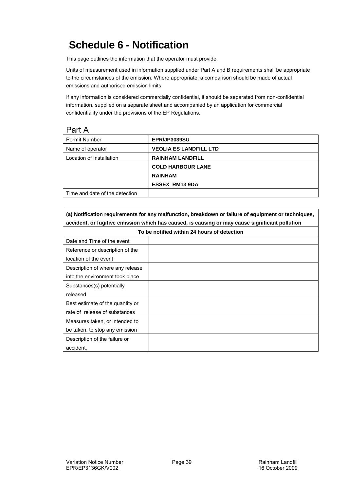# **Schedule 6 - Notification**

This page outlines the information that the operator must provide.

Units of measurement used in information supplied under Part A and B requirements shall be appropriate to the circumstances of the emission. Where appropriate, a comparison should be made of actual emissions and authorised emission limits.

If any information is considered commercially confidential, it should be separated from non-confidential information, supplied on a separate sheet and accompanied by an application for commercial confidentiality under the provisions of the EP Regulations.

#### Part A

| <b>Permit Number</b>           | <b>EPR/JP3039SU</b>           |
|--------------------------------|-------------------------------|
| Name of operator               | <b>VEOLIA ES LANDFILL LTD</b> |
| Location of Installation       | <b>RAINHAM LANDFILL</b>       |
|                                | <b>COLD HARBOUR LANE</b>      |
|                                | <b>RAINHAM</b>                |
|                                | <b>ESSEX RM13 9DA</b>         |
| Time and date of the detection |                               |

| (a) Notification requirements for any malfunction, breakdown or failure of equipment or techniques, |                                             |  |
|-----------------------------------------------------------------------------------------------------|---------------------------------------------|--|
| accident, or fugitive emission which has caused, is causing or may cause significant pollution      |                                             |  |
|                                                                                                     | To be notified within 24 hours of detection |  |
| Date and Time of the event                                                                          |                                             |  |
| Reference or description of the                                                                     |                                             |  |
| location of the event                                                                               |                                             |  |
| Description of where any release                                                                    |                                             |  |
| into the environment took place                                                                     |                                             |  |
| Substances(s) potentially                                                                           |                                             |  |
| released                                                                                            |                                             |  |
| Best estimate of the quantity or                                                                    |                                             |  |
| rate of release of substances                                                                       |                                             |  |
| Measures taken, or intended to                                                                      |                                             |  |
| be taken, to stop any emission                                                                      |                                             |  |
| Description of the failure or                                                                       |                                             |  |
| accident.                                                                                           |                                             |  |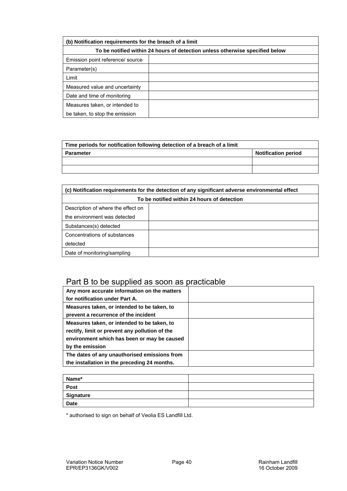| (b) Notification requirements for the breach of a limit                      |  |  |
|------------------------------------------------------------------------------|--|--|
| To be notified within 24 hours of detection unless otherwise specified below |  |  |
| Emission point reference/ source                                             |  |  |
| Parameter(s)                                                                 |  |  |
| Limit                                                                        |  |  |
| Measured value and uncertainty                                               |  |  |
| Date and time of monitoring                                                  |  |  |
| Measures taken, or intended to                                               |  |  |
| be taken, to stop the emission                                               |  |  |

| Time periods for notification following detection of a breach of a limit |                            |  |
|--------------------------------------------------------------------------|----------------------------|--|
| <b>Parameter</b>                                                         | <b>Notification period</b> |  |
|                                                                          |                            |  |
|                                                                          |                            |  |

| (c) Notification requirements for the detection of any significant adverse environmental effect |  |  |
|-------------------------------------------------------------------------------------------------|--|--|
| To be notified within 24 hours of detection                                                     |  |  |
| Description of where the effect on                                                              |  |  |
| the environment was detected                                                                    |  |  |
| Substances(s) detected                                                                          |  |  |
| Concentrations of substances                                                                    |  |  |
| detected                                                                                        |  |  |
| Date of monitoring/sampling                                                                     |  |  |

### Part B to be supplied as soon as practicable

| Any more accurate information on the matters   |  |
|------------------------------------------------|--|
| for notification under Part A.                 |  |
| Measures taken, or intended to be taken, to    |  |
| prevent a recurrence of the incident           |  |
| Measures taken, or intended to be taken, to    |  |
| rectify, limit or prevent any pollution of the |  |
| environment which has been or may be caused    |  |
| by the emission                                |  |
| The dates of any unauthorised emissions from   |  |
| the installation in the preceding 24 months.   |  |

| Name*       |  |
|-------------|--|
| Post        |  |
| Signature   |  |
| <b>Date</b> |  |

\* authorised to sign on behalf of Veolia ES Landfill Ltd.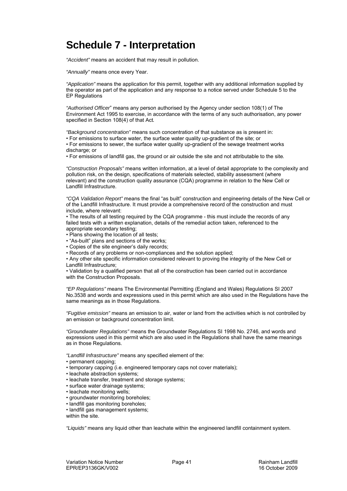## **Schedule 7 - Interpretation**

*"Accident"* means an accident that may result in pollution.

*"Annually"* means once every Year.

*"Application"* means the application for this permit, together with any additional information supplied by the operator as part of the application and any response to a notice served under Schedule 5 to the EP Regulations

*"Authorised Officer*" means any person authorised by the Agency under section 108(1) of The Environment Act 1995 to exercise, in accordance with the terms of any such authorisation, any power specified in Section 108(4) of that Act*.* 

*"Background concentration"* means such concentration of that substance as is present in:

• For emissions to surface water, the surface water quality up-gradient of the site; or

• For emissions to sewer, the surface water quality up-gradient of the sewage treatment works discharge; or

• For emissions of landfill gas, the ground or air outside the site and not attributable to the site*.* 

*"Construction Proposals"* means written information, at a level of detail appropriate to the complexity and pollution risk, on the design, specifications of materials selected, stability assessment (where relevant) and the construction quality assurance (CQA) programme in relation to the New Cell or Landfill Infrastructure.

*"CQA Validation Report"* means the final "as built" construction and engineering details of the New Cell or of the Landfill Infrastructure. It must provide a comprehensive record of the construction and must include, where relevant:

• The results of all testing required by the CQA programme - this must include the records of any failed tests with a written explanation, details of the remedial action taken, referenced to the appropriate secondary testing;

- Plans showing the location of all tests:
- "As-built" plans and sections of the works;
- Copies of the site engineer's daily records;
- Records of any problems or non-compliances and the solution applied;
- Any other site specific information considered relevant to proving the integrity of the New Cell or Landfill Infrastructure;

• Validation by a qualified person that all of the construction has been carried out in accordance with the Construction Proposals.

*"EP Regulations"* means The Environmental Permitting (England and Wales) Regulations SI 2007 No.3538 and words and expressions used in this permit which are also used in the Regulations have the same meanings as in those Regulations.

*"Fugitive emission"* means an emission to air, water or land from the activities which is not controlled by an emission or background concentration limit.

*"Groundwater Regulations"* means the Groundwater Regulations SI 1998 No. 2746, and words and expressions used in this permit which are also used in the Regulations shall have the same meanings as in those Regulations.

*"Landfill Infrastructure"* means any specified element of the:

- permanent capping;
- temporary capping (i.e. engineered temporary caps not cover materials);
- leachate abstraction systems;
- leachate transfer, treatment and storage systems;
- surface water drainage systems;
- leachate monitoring wells;
- groundwater monitoring boreholes;
- landfill gas monitoring boreholes;
- landfill gas management systems;

within the site.

*"Liquids"* means any liquid other than leachate within the engineered landfill containment system.